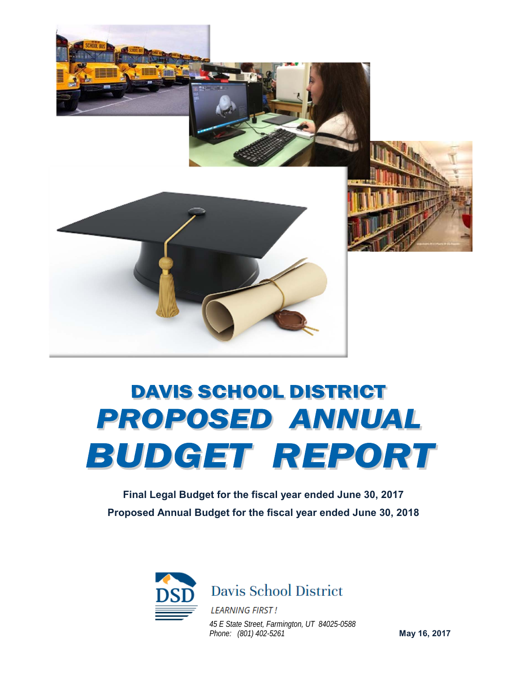

# **DAVIS SCHOOL DISTRICT PROPOSED ANNUAL** BUDGET REPORT

**Final Legal Budget for the fiscal year ended June 30, 2017 Proposed Annual Budget for the fiscal year ended June 30, 2018**



**Davis School District** 

*45 E State Street, Farmington, UT 84025-0588 Phone: (801) 402-5261*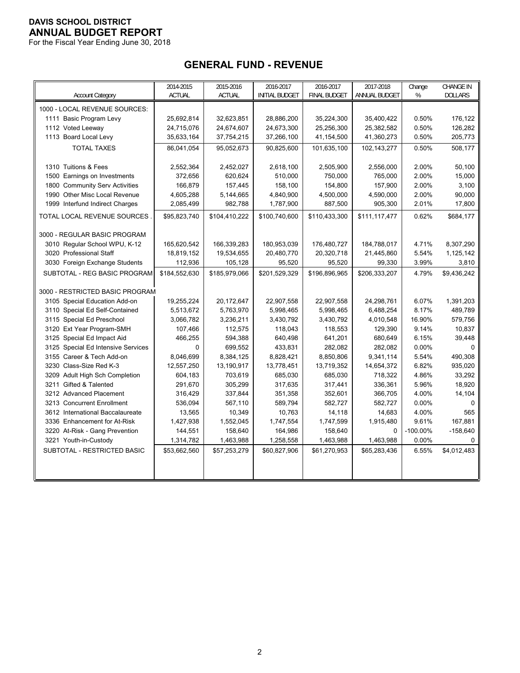For the Fiscal Year Ending June 30, 2018

# **GENERAL FUND - REVENUE**

| <b>Account Category</b>            | 2014-2015<br><b>ACTUAL</b> | 2015-2016<br><b>ACTUAL</b> | 2016-2017<br><b>INITIAL BUDGET</b> | 2016-2017<br><b>FINAL BUDGET</b> | 2017-2018<br>ANNUAL BUDGET | Change<br>% | <b>CHANGE IN</b><br><b>DOLLARS</b> |
|------------------------------------|----------------------------|----------------------------|------------------------------------|----------------------------------|----------------------------|-------------|------------------------------------|
| 1000 - LOCAL REVENUE SOURCES:      |                            |                            |                                    |                                  |                            |             |                                    |
| 1111 Basic Program Levy            | 25,692,814                 | 32,623,851                 | 28,886,200                         | 35,224,300                       | 35,400,422                 | 0.50%       | 176,122                            |
| 1112 Voted Leeway                  | 24,715,076                 | 24,674,607                 | 24,673,300                         | 25,256,300                       | 25,382,582                 | 0.50%       | 126,282                            |
| 1113 Board Local Levy              | 35,633,164                 | 37,754,215                 | 37,266,100                         | 41,154,500                       | 41,360,273                 | 0.50%       | 205,773                            |
| <b>TOTAL TAXES</b>                 | 86,041,054                 | 95,052,673                 | 90,825,600                         |                                  |                            | 0.50%       | 508,177                            |
|                                    |                            |                            |                                    | 101,635,100                      | 102,143,277                |             |                                    |
| 1310 Tuitions & Fees               | 2,552,364                  | 2,452,027                  | 2,618,100                          | 2,505,900                        | 2,556,000                  | 2.00%       | 50,100                             |
| 1500 Earnings on Investments       | 372,656                    | 620,624                    | 510,000                            | 750,000                          | 765,000                    | 2.00%       | 15,000                             |
| 1800 Community Serv Activities     | 166,879                    | 157,445                    | 158,100                            | 154,800                          | 157,900                    | 2.00%       | 3,100                              |
| 1990 Other Misc Local Revenue      | 4,605,288                  | 5,144,665                  | 4,840,900                          | 4,500,000                        | 4,590,000                  | 2.00%       | 90,000                             |
| 1999 Interfund Indirect Charges    | 2,085,499                  | 982,788                    | 1,787,900                          | 887,500                          | 905,300                    | 2.01%       | 17,800                             |
| <b>TOTAL LOCAL REVENUE SOURCES</b> | \$95,823,740               | \$104,410,222              | \$100,740,600                      | \$110,433,300                    | \$111,117,477              | 0.62%       | \$684,177                          |
|                                    |                            |                            |                                    |                                  |                            |             |                                    |
| 3000 - REGULAR BASIC PROGRAM       |                            |                            |                                    |                                  |                            |             |                                    |
| 3010 Regular School WPU, K-12      | 165,620,542                | 166,339,283                | 180,953,039                        | 176,480,727                      | 184,788,017                | 4.71%       | 8,307,290                          |
| 3020 Professional Staff            | 18,819,152                 | 19,534,655                 | 20,480,770                         | 20,320,718                       | 21,445,860                 | 5.54%       | 1,125,142                          |
| 3030 Foreign Exchange Students     | 112,936                    | 105,128                    | 95,520                             | 95,520                           | 99,330                     | 3.99%       | 3,810                              |
| SUBTOTAL - REG BASIC PROGRAM       | \$184,552,630              | \$185,979,066              | \$201,529,329                      | \$196,896,965                    | \$206,333,207              | 4.79%       | \$9,436,242                        |
| 3000 - RESTRICTED BASIC PROGRAM    |                            |                            |                                    |                                  |                            |             |                                    |
| 3105 Special Education Add-on      | 19,255,224                 | 20,172,647                 | 22,907,558                         | 22,907,558                       | 24,298,761                 | 6.07%       | 1,391,203                          |
| 3110 Special Ed Self-Contained     | 5,513,672                  | 5,763,970                  | 5,998,465                          | 5,998,465                        | 6,488,254                  | 8.17%       | 489,789                            |
| 3115 Special Ed Preschool          | 3,066,782                  | 3,236,211                  | 3,430,792                          | 3,430,792                        | 4,010,548                  | 16.90%      | 579,756                            |
| 3120 Ext Year Program-SMH          | 107,466                    | 112,575                    | 118,043                            | 118,553                          | 129,390                    | 9.14%       | 10,837                             |
| 3125 Special Ed Impact Aid         | 466,255                    | 594,388                    | 640,498                            | 641,201                          | 680,649                    | 6.15%       | 39,448                             |
| 3125 Special Ed Intensive Services | $\mathbf 0$                | 699,552                    | 433,831                            | 282,082                          | 282,082                    | 0.00%       | $\Omega$                           |
| 3155 Career & Tech Add-on          | 8,046,699                  | 8,384,125                  | 8,828,421                          | 8,850,806                        | 9,341,114                  | 5.54%       | 490,308                            |
| 3230 Class-Size Red K-3            | 12,557,250                 | 13,190,917                 | 13,778,451                         | 13,719,352                       | 14,654,372                 | 6.82%       | 935,020                            |
| 3209 Adult High Sch Completion     | 604,183                    | 703,619                    | 685,030                            | 685,030                          | 718,322                    | 4.86%       | 33,292                             |
| 3211 Gifted & Talented             | 291,670                    | 305,299                    | 317,635                            | 317,441                          | 336,361                    | 5.96%       | 18,920                             |
| 3212 Advanced Placement            | 316,429                    | 337,844                    | 351,358                            | 352,601                          | 366,705                    | 4.00%       | 14,104                             |
| 3213 Concurrent Enrollment         | 536,094                    | 567,110                    | 589,794                            | 582,727                          | 582,727                    | 0.00%       | $\Omega$                           |
| 3612 International Baccalaureate   | 13,565                     | 10,349                     | 10,763                             | 14,118                           | 14,683                     | 4.00%       | 565                                |
| 3336 Enhancement for At-Risk       | 1,427,938                  | 1,552,045                  | 1,747,554                          | 1,747,599                        | 1,915,480                  | 9.61%       | 167,881                            |
| 3220 At-Risk - Gang Prevention     | 144,551                    | 158,640                    | 164,986                            | 158,640                          | $\Omega$                   | $-100.00\%$ | $-158,640$                         |
| 3221 Youth-in-Custody              | 1,314,782                  | 1,463,988                  | 1,258,558                          | 1,463,988                        | 1,463,988                  | 0.00%       | $\Omega$                           |
| SUBTOTAL - RESTRICTED BASIC        | \$53,662,560               | \$57,253,279               | \$60,827,906                       | \$61,270,953                     | \$65,283,436               | 6.55%       | \$4,012,483                        |
|                                    |                            |                            |                                    |                                  |                            |             |                                    |
|                                    |                            |                            |                                    |                                  |                            |             |                                    |
|                                    |                            |                            |                                    |                                  |                            |             |                                    |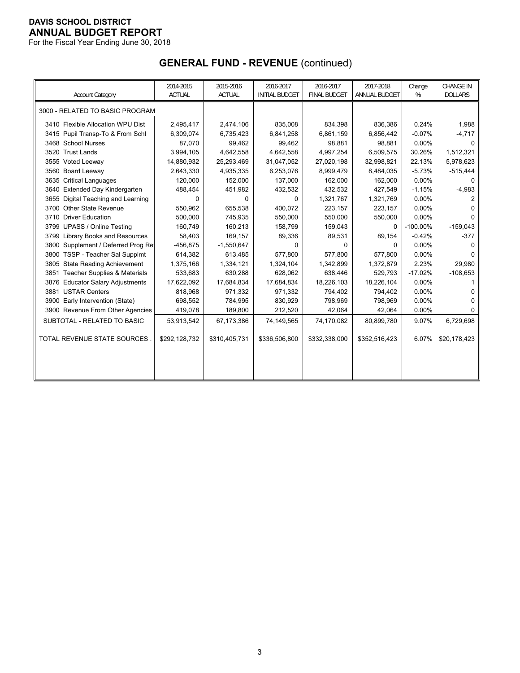For the Fiscal Year Ending June 30, 2018

# **GENERAL FUND - REVENUE** (continued)

|                                          | 2014-2015     | 2015-2016     | 2016-2017             | 2016-2017           | 2017-2018     | Change      | <b>CHANGE IN</b> |
|------------------------------------------|---------------|---------------|-----------------------|---------------------|---------------|-------------|------------------|
| <b>Account Category</b>                  | <b>ACTUAL</b> | <b>ACTUAL</b> | <b>INITIAL BUDGET</b> | <b>FINAL BUDGET</b> | ANNUAL BUDGET | %           | <b>DOLLARS</b>   |
| 3000 - RELATED TO BASIC PROGRAM          |               |               |                       |                     |               |             |                  |
| 3410 Flexible Allocation WPU Dist        | 2,495,417     | 2,474,106     | 835,008               | 834,398             | 836,386       | 0.24%       | 1,988            |
| 3415 Pupil Transp-To & From Schl         | 6,309,074     | 6,735,423     | 6,841,258             | 6,861,159           | 6,856,442     | $-0.07%$    | $-4,717$         |
| 3468 School Nurses                       | 87,070        | 99,462        | 99,462                | 98,881              | 98,881        | 0.00%       | 0                |
| 3520 Trust Lands                         | 3,994,105     | 4,642,558     | 4,642,558             | 4,997,254           | 6,509,575     | 30.26%      | 1,512,321        |
| 3555 Voted Leeway                        | 14,880,932    | 25,293,469    | 31,047,052            | 27,020,198          | 32,998,821    | 22.13%      | 5,978,623        |
| 3560 Board Leeway                        | 2,643,330     | 4,935,335     | 6,253,076             | 8,999,479           | 8,484,035     | $-5.73%$    | $-515,444$       |
| 3635 Critical Languages                  | 120,000       | 152,000       | 137,000               | 162,000             | 162,000       | 0.00%       |                  |
| 3640 Extended Day Kindergarten           | 488,454       | 451,982       | 432,532               | 432,532             | 427,549       | $-1.15%$    | $-4,983$         |
| Digital Teaching and Learning<br>3655    | 0             | 0             | 0                     | 1,321,767           | 1,321,769     | 0.00%       | 2                |
| 3700 Other State Revenue                 | 550,962       | 655,538       | 400,072               | 223,157             | 223,157       | 0.00%       |                  |
| 3710 Driver Education                    | 500,000       | 745,935       | 550,000               | 550,000             | 550,000       | 0.00%       | n                |
| 3799 UPASS / Online Testing              | 160,749       | 160,213       | 158,799               | 159,043             | 0             | $-100.00\%$ | $-159,043$       |
| 3799 Library Books and Resources         | 58,403        | 169,157       | 89,336                | 89,531              | 89,154        | $-0.42%$    | $-377$           |
| 3800 Supplement / Deferred Prog Re       | $-456,875$    | $-1,550,647$  | 0                     | 0                   | 0             | 0.00%       |                  |
| 3800 TSSP - Teacher Sal Supplmt          | 614,382       | 613,485       | 577,800               | 577,800             | 577,800       | 0.00%       |                  |
| <b>State Reading Achievement</b><br>3805 | 1,375,166     | 1,334,121     | 1,324,104             | 1,342,899           | 1,372,879     | 2.23%       | 29,980           |
| 3851 Teacher Supplies & Materials        | 533,683       | 630,288       | 628,062               | 638,446             | 529,793       | $-17.02%$   | $-108,653$       |
| 3876 Educator Salary Adjustments         | 17,622,092    | 17,684,834    | 17,684,834            | 18,226,103          | 18,226,104    | 0.00%       |                  |
| <b>USTAR Centers</b><br>3881             | 818,968       | 971,332       | 971,332               | 794,402             | 794,402       | 0.00%       |                  |
| 3900 Early Intervention (State)          | 698,552       | 784,995       | 830,929               | 798,969             | 798,969       | 0.00%       | O                |
| 3900 Revenue From Other Agencies         | 419,078       | 189,800       | 212,520               | 42,064              | 42,064        | 0.00%       | 0                |
| SUBTOTAL - RELATED TO BASIC              | 53,913,542    | 67,173,386    | 74,149,565            | 74,170,082          | 80,899,780    | 9.07%       | 6,729,698        |
| TOTAL REVENUE STATE SOURCES              | \$292,128,732 | \$310,405,731 | \$336,506,800         | \$332,338,000       | \$352,516,423 | 6.07%       | \$20,178,423     |
|                                          |               |               |                       |                     |               |             |                  |
|                                          |               |               |                       |                     |               |             |                  |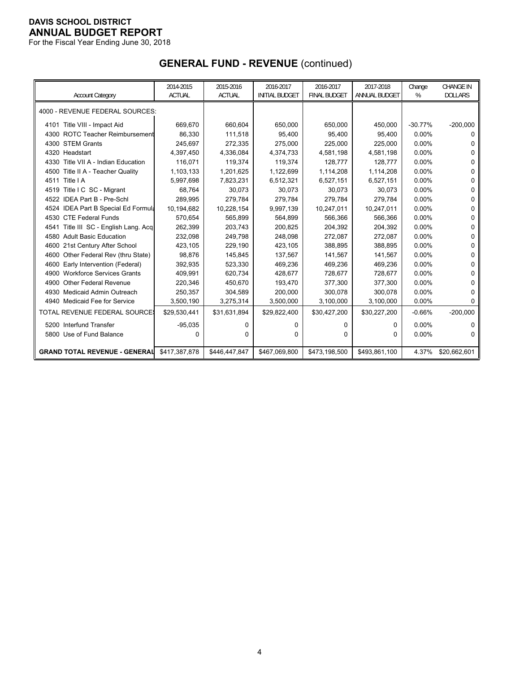For the Fiscal Year Ending June 30, 2018

# **GENERAL FUND - REVENUE** (continued)

| <b>Account Category</b>                  | 2014-2015<br><b>ACTUAL</b> | 2015-2016<br><b>ACTUAL</b> | 2016-2017<br><b>INITIAL BUDGET</b> | 2016-2017<br><b>FINAL BUDGET</b> | 2017-2018<br>ANNUAL BUDGET | Change<br>% | <b>CHANGE IN</b><br><b>DOLLARS</b> |
|------------------------------------------|----------------------------|----------------------------|------------------------------------|----------------------------------|----------------------------|-------------|------------------------------------|
| 4000 - REVENUE FEDERAL SOURCES:          |                            |                            |                                    |                                  |                            |             |                                    |
| 4101 Title VIII - Impact Aid             | 669,670                    | 660,604                    | 650,000                            | 650,000                          | 450,000                    | $-30.77%$   | $-200,000$                         |
| 4300 ROTC Teacher Reimbursement          | 86,330                     | 111,518                    | 95,400                             | 95.400                           | 95.400                     | 0.00%       | 0                                  |
| 4300 STEM Grants                         | 245,697                    | 272,335                    | 275,000                            | 225,000                          | 225,000                    | 0.00%       | 0                                  |
| 4320 Headstart                           | 4,397,450                  | 4,336,084                  | 4,374,733                          | 4,581,198                        | 4,581,198                  | 0.00%       | 0                                  |
| 4330 Title VII A - Indian Education      | 116,071                    | 119,374                    | 119,374                            | 128,777                          | 128,777                    | 0.00%       | 0                                  |
| 4500 Title II A - Teacher Quality        | 1,103,133                  | 1,201,625                  | 1,122,699                          | 1,114,208                        | 1,114,208                  | 0.00%       | 0                                  |
| 4511 Title   A                           | 5,997,698                  | 7,823,231                  | 6,512,321                          | 6,527,151                        | 6,527,151                  | $0.00\%$    | 0                                  |
| 4519 Title I C SC - Migrant              | 68,764                     | 30,073                     | 30,073                             | 30,073                           | 30,073                     | 0.00%       | 0                                  |
| 4522 IDEA Part B - Pre-Schl              | 289,995                    | 279.784                    | 279.784                            | 279,784                          | 279.784                    | 0.00%       | 0                                  |
| 4524 IDEA Part B Special Ed Formula      | 10,194,682                 | 10,228,154                 | 9,997,139                          | 10,247,011                       | 10,247,011                 | 0.00%       | 0                                  |
| 4530 CTE Federal Funds                   | 570,654                    | 565,899                    | 564,899                            | 566,366                          | 566,366                    | $0.00\%$    | 0                                  |
| Title III SC - English Lang. Acq<br>4541 | 262,399                    | 203,743                    | 200.825                            | 204,392                          | 204,392                    | 0.00%       | U                                  |
| 4580 Adult Basic Education               | 232,098                    | 249,798                    | 248,098                            | 272,087                          | 272,087                    | 0.00%       | 0                                  |
| 4600 21st Century After School           | 423,105                    | 229,190                    | 423,105                            | 388,895                          | 388,895                    | 0.00%       | 0                                  |
| 4600 Other Federal Rev (thru State)      | 98,876                     | 145,845                    | 137,567                            | 141,567                          | 141,567                    | 0.00%       | 0                                  |
| 4600 Early Intervention (Federal)        | 392,935                    | 523,330                    | 469,236                            | 469,236                          | 469,236                    | 0.00%       | 0                                  |
| <b>Workforce Services Grants</b><br>4900 | 409,991                    | 620,734                    | 428,677                            | 728,677                          | 728,677                    | 0.00%       | 0                                  |
| Other Federal Revenue<br>4900            | 220,346                    | 450,670                    | 193,470                            | 377,300                          | 377,300                    | 0.00%       | 0                                  |
| 4930 Medicaid Admin Outreach             | 250,357                    | 304,589                    | 200,000                            | 300,078                          | 300,078                    | $0.00\%$    | 0                                  |
| 4940 Medicaid Fee for Service            | 3,500,190                  | 3,275,314                  | 3,500,000                          | 3,100,000                        | 3,100,000                  | 0.00%       | 0                                  |
| TOTAL REVENUE FEDERAL SOURCE             | \$29,530,441               | \$31,631,894               | \$29,822,400                       | \$30,427,200                     | \$30,227,200               | $-0.66%$    | $-200,000$                         |
| 5200 Interfund Transfer                  | $-95,035$                  | 0                          | 0                                  | 0                                | 0                          | $0.00\%$    | n                                  |
| 5800 Use of Fund Balance                 | 0                          | 0                          | 0                                  | $\Omega$                         | 0                          | $0.00\%$    | 0                                  |
| <b>GRAND TOTAL REVENUE - GENERAL</b>     | \$417,387,878              | \$446,447,847              | \$467,069,800                      | \$473,198,500                    | \$493,861,100              | 4.37%       | \$20,662,601                       |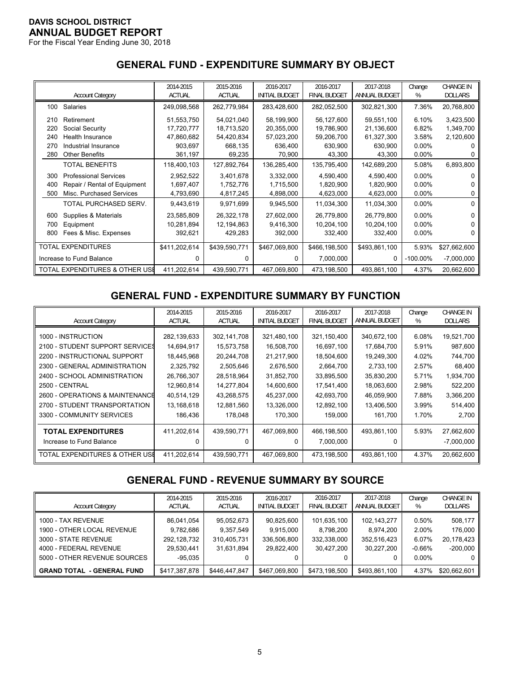For the Fiscal Year Ending June 30, 2018

# **GENERAL FUND - EXPENDITURE SUMMARY BY OBJECT**

|     | <b>Account Category</b>        | 2014-2015<br><b>ACTUAL</b> | 2015-2016<br><b>ACTUAL</b> | 2016-2017<br><b>INITIAL BUDGET</b> | 2016-2017<br><b>FINAL BUDGET</b> | 2017-2018<br>ANNUAL BUDGET | Change<br>% | <b>CHANGE IN</b><br><b>DOLLARS</b> |
|-----|--------------------------------|----------------------------|----------------------------|------------------------------------|----------------------------------|----------------------------|-------------|------------------------------------|
|     |                                |                            |                            |                                    |                                  |                            |             |                                    |
| 100 | <b>Salaries</b>                | 249,098,568                | 262,779,984                | 283,428,600                        | 282,052,500                      | 302,821,300                | 7.36%       | 20,768,800                         |
| 210 | Retirement                     | 51.553.750                 | 54,021,040                 | 58,199,900                         | 56,127,600                       | 59,551,100                 | 6.10%       | 3,423,500                          |
| 220 | Social Security                | 17,720,777                 | 18,713,520                 | 20,355,000                         | 19,786,900                       | 21,136,600                 | 6.82%       | 1,349,700                          |
| 240 | Health Insurance               | 47,860,682                 | 54,420,834                 | 57,023,200                         | 59,206,700                       | 61,327,300                 | 3.58%       | 2,120,600                          |
| 270 | Industrial Insurance           | 903,697                    | 668,135                    | 636,400                            | 630,900                          | 630,900                    | $0.00\%$    |                                    |
| 280 | <b>Other Benefits</b>          | 361,197                    | 69,235                     | 70,900                             | 43,300                           | 43,300                     | $0.00\%$    |                                    |
|     | <b>TOTAL BENEFITS</b>          | 118,400,103                | 127,892,764                | 136,285,400                        | 135,795,400                      | 142,689,200                | 5.08%       | 6,893,800                          |
| 300 | <b>Professional Services</b>   | 2,952,522                  | 3,401,678                  | 3,332,000                          | 4,590,400                        | 4,590,400                  | $0.00\%$    |                                    |
| 400 | Repair / Rental of Equipment   | 1,697,407                  | 1,752,776                  | 1,715,500                          | 1,820,900                        | 1,820,900                  | $0.00\%$    |                                    |
| 500 | Misc. Purchased Services       | 4,793,690                  | 4,817,245                  | 4,898,000                          | 4,623,000                        | 4,623,000                  | 0.00%       | 0                                  |
|     | TOTAL PURCHASED SERV.          | 9,443,619                  | 9,971,699                  | 9,945,500                          | 11,034,300                       | 11,034,300                 | $0.00\%$    | 0                                  |
| 600 | Supplies & Materials           | 23,585,809                 | 26,322,178                 | 27,602,000                         | 26,779,800                       | 26,779,800                 | $0.00\%$    |                                    |
| 700 | Equipment                      | 10,281,894                 | 12,194,863                 | 9,416,300                          | 10,204,100                       | 10,204,100                 | $0.00\%$    |                                    |
| 800 | Fees & Misc. Expenses          | 392,621                    | 429,283                    | 392,000                            | 332,400                          | 332,400                    | $0.00\%$    |                                    |
|     | <b>TOTAL EXPENDITURES</b>      | \$411,202,614              | \$439,590,771              | \$467,069,800                      | \$466,198,500                    | \$493,861,100              | 5.93%       | \$27,662,600                       |
|     | Increase to Fund Balance       | U                          | U                          | <sup>n</sup>                       | 7,000,000                        | 0                          | $-100.00\%$ | $-7,000,000$                       |
|     | TOTAL EXPENDITURES & OTHER USE | 411,202,614                | 439,590,771                | 467,069,800                        | 473,198,500                      | 493,861,100                | 4.37%       | 20,662,600                         |

# **GENERAL FUND - EXPENDITURE SUMMARY BY FUNCTION**

|                                 | 2014-2015     | 2015-2016     | 2016-2017             | 2016-2017           | 2017-2018     | Change | <b>CHANGE IN</b> |
|---------------------------------|---------------|---------------|-----------------------|---------------------|---------------|--------|------------------|
| <b>Account Category</b>         | <b>ACTUAL</b> | <b>ACTUAL</b> | <b>INITIAL BUDGET</b> | <b>FINAL BUDGET</b> | ANNUAL BUDGET | %      | <b>DOLLARS</b>   |
| 1000 - INSTRUCTION              | 282,139,633   | 302,141,708   | 321,480,100           | 321,150,400         | 340,672,100   | 6.08%  | 19,521,700       |
| 2100 - STUDENT SUPPORT SERVICES | 14,694,917    | 15,573,758    | 16,508,700            | 16,697,100          | 17,684,700    | 5.91%  | 987,600          |
| 2200 - INSTRUCTIONAL SUPPORT    | 18,445,968    | 20,244,708    | 21,217,900            | 18,504,600          | 19,249,300    | 4.02%  | 744,700          |
| 2300 - GENERAL ADMINISTRATION   | 2,325,792     | 2,505,646     | 2,676,500             | 2,664,700           | 2,733,100     | 2.57%  | 68,400           |
| 2400 - SCHOOL ADMINISTRATION    | 26,766,307    | 28,518,964    | 31,852,700            | 33,895,500          | 35,830,200    | 5.71%  | 1,934,700        |
| 2500 - CENTRAL                  | 12,960,814    | 14,277,804    | 14,600,600            | 17,541,400          | 18,063,600    | 2.98%  | 522,200          |
| 2600 - OPERATIONS & MAINTENANCE | 40,514,129    | 43,268,575    | 45,237,000            | 42,693,700          | 46,059,900    | 7.88%  | 3,366,200        |
| 2700 - STUDENT TRANSPORTATION   | 13,168,618    | 12,881,560    | 13,326,000            | 12,892,100          | 13,406,500    | 3.99%  | 514,400          |
| 3300 - COMMUNITY SERVICES       | 186,436       | 178,048       | 170,300               | 159,000             | 161,700       | 1.70%  | 2,700            |
| <b>TOTAL EXPENDITURES</b>       | 411,202,614   | 439,590,771   | 467,069,800           | 466,198,500         | 493,861,100   | 5.93%  | 27,662,600       |
| Increase to Fund Balance        | O             |               |                       | 7,000,000           | 0             |        | $-7,000,000$     |
| TOTAL EXPENDITURES & OTHER USE  | 411,202,614   | 439,590,771   | 467.069.800           | 473.198.500         | 493.861.100   | 4.37%  | 20,662,600       |

# **GENERAL FUND - REVENUE SUMMARY BY SOURCE**

| <b>Account Category</b>                                                                                                            | 2014-2015<br><b>ACTUAL</b>                                        | 2015-2016<br><b>ACTUAL</b>                           | 2016-2017<br><b>INITIAL BUDGET</b>                   | 2016-2017<br><b>FINAL BUDGET</b>                      | 2017-2018<br>ANNUAL BUDGET                            | Change<br>%                                         | <b>CHANGE IN</b><br><b>DOLLARS</b>             |
|------------------------------------------------------------------------------------------------------------------------------------|-------------------------------------------------------------------|------------------------------------------------------|------------------------------------------------------|-------------------------------------------------------|-------------------------------------------------------|-----------------------------------------------------|------------------------------------------------|
| 1000 - TAX REVENUE<br>1900 - OTHER LOCAL REVENUE<br>3000 - STATE REVENUE<br>4000 - FEDERAL REVENUE<br>5000 - OTHER REVENUE SOURCES | 86,041,054<br>9,782,686<br>292,128,732<br>29.530.441<br>$-95,035$ | 95,052,673<br>9,357,549<br>310,405,731<br>31,631,894 | 90,825,600<br>9,915,000<br>336.506.800<br>29.822.400 | 101,635,100<br>8,798,200<br>332.338.000<br>30.427.200 | 102,143,277<br>8,974,200<br>352,516,423<br>30.227.200 | $0.50\%$<br>2.00%<br>6.07%<br>$-0.66\%$<br>$0.00\%$ | 508,177<br>176,000<br>20,178,423<br>$-200.000$ |
| <b>GRAND TOTAL - GENERAL FUND</b>                                                                                                  | \$417,387,878                                                     | \$446,447,847                                        | \$467,069,800                                        | \$473,198,500                                         | \$493,861,100                                         | 4.37%                                               | \$20,662,601                                   |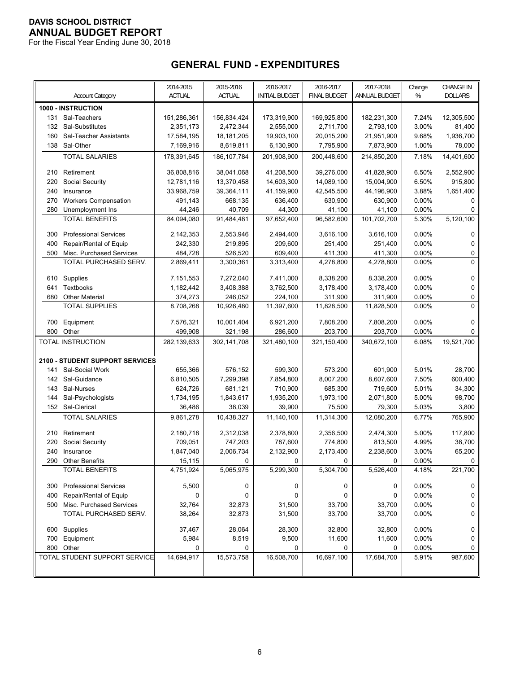For the Fiscal Year Ending June 30, 2018

# **GENERAL FUND - EXPENDITURES**

|            | <b>Account Category</b>                   | 2014-2015<br><b>ACTUAL</b> | 2015-2016<br><b>ACTUAL</b> | 2016-2017<br><b>INITIAL BUDGET</b> | 2016-2017<br><b>FINAL BUDGET</b> | 2017-2018<br>ANNUAL BUDGET | Change<br>$\%$ | <b>CHANGE IN</b><br><b>DOLLARS</b> |
|------------|-------------------------------------------|----------------------------|----------------------------|------------------------------------|----------------------------------|----------------------------|----------------|------------------------------------|
|            | 1000 - INSTRUCTION                        |                            |                            |                                    |                                  |                            |                |                                    |
| 131        | Sal-Teachers                              | 151,286,361                | 156,834,424                | 173,319,900                        | 169,925,800                      | 182,231,300                | 7.24%          | 12,305,500                         |
| 132        | Sal-Substitutes                           | 2,351,173                  | 2,472,344                  | 2,555,000                          | 2,711,700                        | 2,793,100                  | 3.00%          | 81,400                             |
| 160        | Sal-Teacher Assistants                    | 17,584,195                 | 18, 181, 205               | 19,903,100                         | 20,015,200                       | 21,951,900                 | 9.68%          | 1,936,700                          |
|            | 138 Sal-Other                             | 7,169,916                  | 8,619,811                  | 6,130,900                          | 7,795,900                        | 7,873,900                  | 1.00%          | 78,000                             |
|            | <b>TOTAL SALARIES</b>                     | 178,391,645                | 186, 107, 784              | 201,908,900                        | 200,448,600                      | 214,850,200                | 7.18%          | 14,401,600                         |
|            |                                           |                            |                            |                                    |                                  |                            |                |                                    |
| 210        | Retirement                                | 36,808,816                 | 38,041,068                 | 41,208,500                         | 39,276,000                       | 41,828,900                 | 6.50%          | 2,552,900                          |
| 220        | Social Security                           | 12,781,116                 | 13,370,458                 | 14,603,300                         | 14,089,100                       | 15,004,900                 | 6.50%          | 915,800                            |
| 240        | Insurance                                 | 33,968,759                 | 39,364,111                 | 41,159,900                         | 42,545,500                       | 44,196,900                 | 3.88%          | 1,651,400                          |
| 270        | <b>Workers Compensation</b>               | 491,143                    | 668,135                    | 636,400                            | 630,900                          | 630,900                    | 0.00%          | 0                                  |
| 280        | Unemployment Ins<br><b>TOTAL BENEFITS</b> | 44,246<br>84,094,080       | 40,709<br>91,484,481       | 44,300<br>97,652,400               | 41,100<br>96,582,600             | 41,100<br>101,702,700      | 0.00%<br>5.30% | 0<br>5,120,100                     |
|            |                                           |                            |                            |                                    |                                  |                            |                |                                    |
| 300        | <b>Professional Services</b>              | 2,142,353                  | 2,553,946                  | 2,494,400                          | 3,616,100                        | 3,616,100                  | 0.00%          | 0                                  |
| 400        | Repair/Rental of Equip                    | 242,330                    | 219,895                    | 209,600                            | 251,400                          | 251,400                    | 0.00%          | 0                                  |
| 500        | Misc. Purchased Services                  | 484,728                    | 526,520                    | 609,400                            | 411,300                          | 411,300                    | 0.00%          | 0                                  |
|            | TOTAL PURCHASED SERV.                     | 2,869,411                  | 3,300,361                  | 3,313,400                          | 4,278,800                        | 4,278,800                  | 0.00%          | 0                                  |
|            |                                           |                            | 7,272,040                  | 7,411,000                          | 8,338,200                        |                            | 0.00%          |                                    |
| 610<br>641 | Supplies<br><b>Textbooks</b>              | 7,151,553<br>1,182,442     | 3,408,388                  | 3,762,500                          | 3,178,400                        | 8,338,200<br>3,178,400     | 0.00%          | 0<br>0                             |
| 680        | <b>Other Material</b>                     | 374,273                    | 246,052                    | 224,100                            | 311,900                          | 311,900                    | 0.00%          | 0                                  |
|            | <b>TOTAL SUPPLIES</b>                     | 8,708,268                  | 10,926,480                 | 11,397,600                         | 11,828,500                       | 11,828,500                 | 0.00%          | 0                                  |
|            |                                           |                            |                            |                                    |                                  |                            |                |                                    |
| 700        | Equipment                                 | 7,576,321                  | 10,001,404                 | 6,921,200                          | 7,808,200                        | 7,808,200                  | 0.00%          | 0                                  |
| 800        | Other                                     | 499,908                    | 321,198                    | 286,600                            | 203,700                          | 203,700                    | 0.00%          | 0                                  |
|            | TOTAL INSTRUCTION                         | 282,139,633                | 302,141,708                | 321,480,100                        | 321,150,400                      | 340,672,100                | 6.08%          | 19,521,700                         |
|            |                                           |                            |                            |                                    |                                  |                            |                |                                    |
|            | 2100 - STUDENT SUPPORT SERVICES           |                            |                            |                                    |                                  |                            |                |                                    |
| 141        | Sal-Social Work                           | 655,366                    | 576,152                    | 599,300                            | 573,200                          | 601,900                    | 5.01%          | 28,700                             |
| 142        | Sal-Guidance                              | 6,810,505                  | 7,299,398                  | 7,854,800                          | 8,007,200                        | 8,607,600                  | 7.50%          | 600,400                            |
| 143<br>144 | Sal-Nurses<br>Sal-Psychologists           | 624,726<br>1,734,195       | 681,121<br>1,843,617       | 710,900<br>1,935,200               | 685,300<br>1,973,100             | 719,600<br>2,071,800       | 5.01%<br>5.00% | 34,300<br>98,700                   |
| 152        | Sal-Clerical                              | 36,486                     | 38,039                     | 39,900                             | 75,500                           | 79,300                     | 5.03%          | 3,800                              |
|            | <b>TOTAL SALARIES</b>                     | 9,861,278                  | 10,438,327                 | 11,140,100                         | 11,314,300                       | 12,080,200                 | 6.77%          | 765,900                            |
|            |                                           |                            |                            |                                    |                                  |                            |                |                                    |
| 210        | Retirement                                | 2,180,718                  | 2,312,038                  | 2,378,800                          | 2,356,500                        | 2,474,300                  | 5.00%          | 117,800                            |
| 220        | Social Security                           | 709,051                    | 747,203                    | 787,600                            | 774,800                          | 813,500                    | 4.99%          | 38,700                             |
| 240        | Insurance                                 | 1,847,040                  | 2,006,734                  | 2,132,900                          | 2,173,400                        | 2,238,600                  | 3.00%          | 65,200                             |
|            | 290 Other Benefits                        | 15,115                     | $\Omega$                   | 0                                  | 0                                | 0                          | $0.00\%$       | $\Omega$                           |
|            | <b>TOTAL BENEFITS</b>                     | 4,751,924                  | 5,065,975                  | 5,299,300                          | 5,304,700                        | 5,526,400                  | 4.18%          | 221,700                            |
| 300        | <b>Professional Services</b>              | 5,500                      | 0                          | 0                                  | 0                                | 0                          | 0.00%          | 0                                  |
| 400        | Repair/Rental of Equip                    | 0                          | 0                          | 0                                  | 0                                | 0                          | 0.00%          | 0                                  |
|            | 500 Misc. Purchased Services              | 32,764                     | 32,873                     | 31,500                             | 33,700                           | 33,700                     | 0.00%          | 0                                  |
|            | TOTAL PURCHASED SERV.                     | 38,264                     | 32,873                     | 31,500                             | 33,700                           | 33,700                     | 0.00%          | 0                                  |
|            | 600 Supplies                              | 37,467                     | 28,064                     | 28,300                             | 32,800                           | 32,800                     | $0.00\%$       | 0                                  |
| 700        | Equipment                                 | 5,984                      | 8,519                      | 9,500                              | 11,600                           | 11,600                     | 0.00%          | 0                                  |
|            | 800 Other                                 | 0                          | 0                          | 0                                  | 0                                | 0                          | 0.00%          | 0                                  |
|            | TOTAL STUDENT SUPPORT SERVICE             | 14,694,917                 | 15,573,758                 | 16,508,700                         | 16,697,100                       | 17,684,700                 | 5.91%          | 987,600                            |
|            |                                           |                            |                            |                                    |                                  |                            |                |                                    |
|            |                                           |                            |                            |                                    |                                  |                            |                |                                    |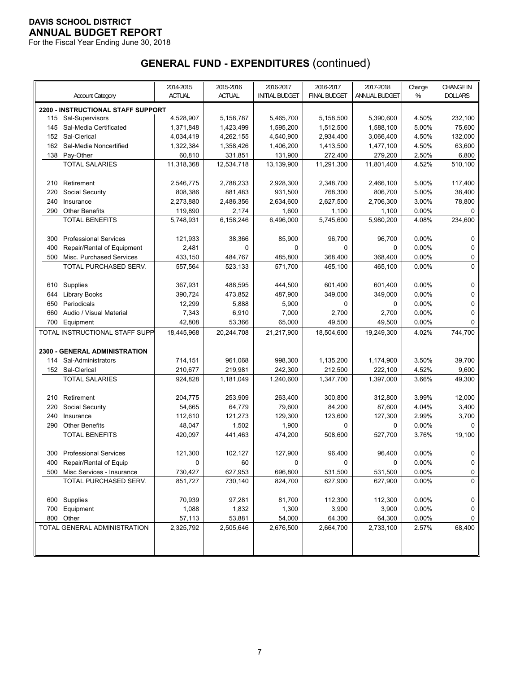For the Fiscal Year Ending June 30, 2018

|     |                                        | 2014-2015     | 2015-2016     | 2016-2017             | 2016-2017<br><b>FINAL BUDGET</b> | 2017-2018     | Change | <b>CHANGE IN</b> |
|-----|----------------------------------------|---------------|---------------|-----------------------|----------------------------------|---------------|--------|------------------|
|     | <b>Account Category</b>                | <b>ACTUAL</b> | <b>ACTUAL</b> | <b>INITIAL BUDGET</b> |                                  | ANNUAL BUDGET | %      | <b>DOLLARS</b>   |
|     | 2200 - INSTRUCTIONAL STAFF SUPPORT     |               |               |                       |                                  |               |        |                  |
|     | 115 Sal-Supervisors                    | 4,528,907     | 5,158,787     | 5,465,700             | 5,158,500                        | 5,390,600     | 4.50%  | 232,100          |
| 145 | Sal-Media Certificated<br>Sal-Clerical | 1,371,848     | 1,423,499     | 1,595,200             | 1,512,500                        | 1,588,100     | 5.00%  | 75,600           |
| 152 |                                        | 4,034,419     | 4,262,155     | 4,540,900             | 2,934,400                        | 3,066,400     | 4.50%  | 132,000          |
| 162 | Sal-Media Noncertified                 | 1,322,384     | 1,358,426     | 1,406,200             | 1,413,500                        | 1,477,100     | 4.50%  | 63,600           |
| 138 | Pay-Other                              | 60,810        | 331,851       | 131,900               | 272,400                          | 279,200       | 2.50%  | 6,800            |
|     | <b>TOTAL SALARIES</b>                  | 11,318,368    | 12,534,718    | 13,139,900            | 11,291,300                       | 11,801,400    | 4.52%  | 510,100          |
| 210 | Retirement                             | 2,546,775     | 2,788,233     | 2,928,300             | 2,348,700                        | 2,466,100     | 5.00%  | 117,400          |
| 220 | Social Security                        | 808,386       | 881,483       | 931,500               | 768,300                          | 806,700       | 5.00%  | 38,400           |
| 240 | Insurance                              | 2,273,880     | 2,486,356     | 2,634,600             | 2,627,500                        | 2,706,300     | 3.00%  | 78,800           |
| 290 | <b>Other Benefits</b>                  | 119,890       | 2,174         | 1,600                 | 1,100                            | 1,100         | 0.00%  | 0                |
|     | <b>TOTAL BENEFITS</b>                  | 5,748,931     | 6,158,246     | 6,496,000             | 5,745,600                        | 5,980,200     | 4.08%  | 234,600          |
|     |                                        |               |               |                       |                                  |               |        |                  |
| 300 | <b>Professional Services</b>           | 121,933       | 38,366        | 85,900                | 96,700                           | 96,700        | 0.00%  | 0                |
| 400 | Repair/Rental of Equipment             | 2,481         | 0             | 0                     | 0                                | $\mathbf 0$   | 0.00%  | 0                |
| 500 | Misc. Purchased Services               | 433,150       | 484,767       | 485,800               | 368,400                          | 368,400       | 0.00%  | 0<br>0           |
|     | TOTAL PURCHASED SERV.                  | 557,564       | 523,133       | 571,700               | 465,100                          | 465,100       | 0.00%  |                  |
| 610 | Supplies                               | 367,931       | 488,595       | 444,500               | 601,400                          | 601,400       | 0.00%  | 0                |
| 644 | Library Books                          | 390,724       | 473,852       | 487,900               | 349,000                          | 349,000       | 0.00%  | 0                |
| 650 | Periodicals                            | 12,299        | 5,888         | 5,900                 | $\mathbf 0$                      | 0             | 0.00%  | 0                |
| 660 | Audio / Visual Material                | 7,343         | 6,910         | 7,000                 | 2,700                            | 2,700         | 0.00%  | 0                |
| 700 | Equipment                              | 42,808        | 53,366        | 65,000                | 49,500                           | 49,500        | 0.00%  | 0                |
|     | TOTAL INSTRUCTIONAL STAFF SUPP         | 18,445,968    | 20,244,708    | 21,217,900            | 18,504,600                       | 19,249,300    | 4.02%  | 744,700          |
|     |                                        |               |               |                       |                                  |               |        |                  |
|     | 2300 - GENERAL ADMINISTRATION          |               |               |                       |                                  |               |        |                  |
| 114 | Sal-Administrators                     | 714,151       | 961,068       | 998,300               | 1,135,200                        | 1,174,900     | 3.50%  | 39,700           |
|     | 152 Sal-Clerical                       | 210,677       | 219,981       | 242,300               | 212,500                          | 222,100       | 4.52%  | 9,600            |
|     | <b>TOTAL SALARIES</b>                  | 924,828       | 1,181,049     | 1,240,600             | 1,347,700                        | 1,397,000     | 3.66%  | 49,300           |
| 210 | Retirement                             | 204,775       | 253,909       | 263,400               | 300,800                          | 312,800       | 3.99%  | 12,000           |
| 220 | Social Security                        | 54,665        | 64,779        | 79,600                | 84,200                           | 87,600        | 4.04%  | 3,400            |
| 240 | Insurance                              | 112,610       | 121,273       | 129,300               | 123,600                          | 127,300       | 2.99%  | 3,700            |
| 290 | <b>Other Benefits</b>                  | 48,047        | 1,502         | 1,900                 | $\mathbf 0$                      | 0             | 0.00%  | 0                |
|     | <b>TOTAL BENEFITS</b>                  | 420,097       | 441,463       | 474,200               | 508,600                          | 527,700       | 3.76%  | 19,100           |
|     |                                        |               |               |                       |                                  |               |        |                  |
|     | 300 Professional Services              | 121,300       | 102,127       | 127,900               | 96,400                           | 96,400        | 0.00%  | 0                |
|     | 400 Repair/Rental of Equip             | U             | 60            | 0                     | 0                                | 0             | 0.00%  | U                |
|     | 500 Misc Services - Insurance          | 730,427       | 627,953       | 696,800               | 531,500                          | 531,500       | 0.00%  | 0                |
|     | TOTAL PURCHASED SERV.                  | 851,727       | 730,140       | 824,700               | 627,900                          | 627,900       | 0.00%  | $\Omega$         |
|     | 600 Supplies                           | 70,939        | 97,281        | 81,700                | 112,300                          | 112,300       | 0.00%  | 0                |
| 700 | Equipment                              | 1,088         | 1,832         | 1,300                 | 3,900                            | 3,900         | 0.00%  | 0                |
|     | 800 Other                              | 57,113        | 53,881        | 54,000                | 64,300                           | 64,300        | 0.00%  | 0                |
|     | TOTAL GENERAL ADMINISTRATION           | 2,325,792     | 2,505,646     | 2,676,500             | 2,664,700                        | 2,733,100     | 2.57%  | 68,400           |
|     |                                        |               |               |                       |                                  |               |        |                  |
|     |                                        |               |               |                       |                                  |               |        |                  |
|     |                                        |               |               |                       |                                  |               |        |                  |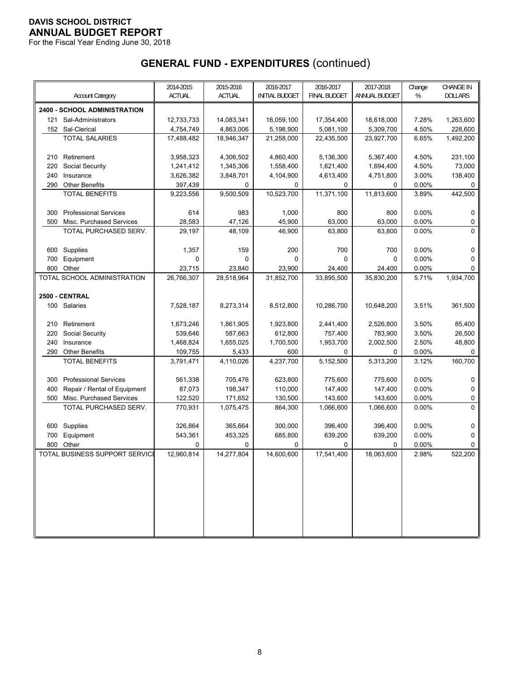For the Fiscal Year Ending June 30, 2018

|            |                                | 2014-2015          | 2015-2016          | 2016-2017             | 2016-2017          | 2017-2018          | Change         | CHANGE IN      |
|------------|--------------------------------|--------------------|--------------------|-----------------------|--------------------|--------------------|----------------|----------------|
|            | <b>Account Category</b>        | <b>ACTUAL</b>      | ACTUAL             | <b>INITIAL BUDGET</b> | FINAL BUDGET       | ANNUAL BUDGET      | $\%$           | <b>DOLLARS</b> |
|            | 2400 - SCHOOL ADMINISTRATION   |                    |                    |                       |                    |                    |                |                |
|            | 121 Sal-Administrators         | 12,733,733         | 14,083,341         | 16,059,100            | 17,354,400         | 18,618,000         | 7.28%          | 1,263,600      |
|            | 152 Sal-Clerical               | 4,754,749          | 4,863,006          | 5,198,900             | 5,081,100          | 5,309,700          | 4.50%          | 228,600        |
|            | <b>TOTAL SALARIES</b>          | 17,488,482         | 18,946,347         | 21,258,000            | 22,435,500         | 23,927,700         | 6.65%          | 1,492,200      |
|            |                                |                    |                    |                       |                    |                    |                |                |
| 210        | Retirement                     | 3,958,323          | 4,306,502          | 4,860,400             | 5,136,300          | 5,367,400          | 4.50%          | 231,100        |
| 220        | Social Security                | 1,241,412          | 1,345,306          | 1,558,400             | 1,621,400          | 1,694,400          | 4.50%          | 73,000         |
| 240        | Insurance                      | 3,626,382          | 3,848,701          | 4,104,900             | 4,613,400          | 4,751,800          | 3.00%          | 138,400        |
| 290        | <b>Other Benefits</b>          | 397,439            | 0                  | $\mathbf 0$           | 0                  | 0                  | 0.00%          | 0              |
|            | <b>TOTAL BENEFITS</b>          | 9,223,556          | 9,500,509          | 10,523,700            | 11,371,100         | 11,813,600         | 3.89%          | 442,500        |
|            |                                |                    |                    |                       |                    |                    |                |                |
| 300        | <b>Professional Services</b>   | 614                | 983                | 1,000                 | 800                | 800                | 0.00%          | 0              |
| 500        | Misc. Purchased Services       | 28,583             | 47,126             | 45,900                | 63,000             | 63,000             | 0.00%          | 0              |
|            | TOTAL PURCHASED SERV.          | 29,197             | 48,109             | 46,900                | 63,800             | 63,800             | 0.00%          | 0              |
| 600        | Supplies                       | 1,357              | 159                | 200                   | 700                | 700                | 0.00%          | 0              |
| 700        | Equipment                      | 0                  | $\Omega$           | 0                     | 0                  | 0                  | 0.00%          | 0              |
| 800        | Other                          | 23,715             | 23,840             | 23,900                | 24,400             | 24,400             | 0.00%          | 0              |
|            | TOTAL SCHOOL ADMINISTRATION    | 26,766,307         | 28,518,964         | 31,852,700            | 33,895,500         | 35,830,200         | 5.71%          | 1,934,700      |
|            |                                |                    |                    |                       |                    |                    |                |                |
|            | 2500 - CENTRAL                 |                    |                    |                       |                    |                    |                |                |
|            | 100 Salaries                   | 7,528,187          | 8,273,314          | 8,512,800             | 10,286,700         | 10,648,200         | 3.51%          | 361,500        |
|            |                                |                    |                    |                       |                    |                    |                |                |
| 210        | Retirement                     | 1,673,246          | 1,861,905          | 1,923,800             | 2,441,400          | 2,526,800          | 3.50%          | 85,400         |
| 220        | Social Security                | 539,646            | 587,663            | 612,800               | 757,400            | 783,900            | 3.50%          | 26,500         |
| 240        | Insurance                      | 1,468,824          | 1,655,025          | 1,700,500             | 1,953,700          | 2,002,500          | 2.50%          | 48,800         |
| 290        | <b>Other Benefits</b>          | 109,755            | 5,433              | 600                   | 0                  | 0                  | 0.00%          | 0              |
|            | <b>TOTAL BENEFITS</b>          | 3,791,471          | 4,110,026          | 4,237,700             | 5,152,500          | 5,313,200          | 3.12%          | 160,700        |
|            |                                |                    |                    |                       |                    |                    |                |                |
| 300        | <b>Professional Services</b>   | 561,338            | 705,476            | 623,800               | 775,600            | 775,600            | 0.00%          | 0              |
| 400        | Repair / Rental of Equipment   | 87,073             | 198,347            | 110,000               | 147,400            | 147,400            | 0.00%          | 0              |
| 500        | Misc. Purchased Services       | 122,520            | 171,652            | 130,500               | 143,600            | 143,600            | 0.00%          | 0              |
|            | TOTAL PURCHASED SERV.          | 770,931            | 1,075,475          | 864,300               | 1,066,600          | 1,066,600          | 0.00%          | 0              |
|            |                                |                    |                    |                       |                    |                    |                |                |
| 600        | Supplies                       | 326,864<br>543,361 | 365,664<br>453,325 | 300,000<br>685,800    | 396,400<br>639,200 | 396,400<br>639,200 | 0.00%<br>0.00% | 0<br>0         |
| 700<br>800 | Equipment<br>Other             | 0                  | 0                  | 0                     | 0                  | 0                  | 0.00%          | 0              |
|            | TOTAL BUSINESS SUPPORT SERVICE | 12,960,814         | 14,277,804         | 14,600,600            | 17,541,400         | 18,063,600         | 2.98%          | 522,200        |
|            |                                |                    |                    |                       |                    |                    |                |                |
|            |                                |                    |                    |                       |                    |                    |                |                |
|            |                                |                    |                    |                       |                    |                    |                |                |
|            |                                |                    |                    |                       |                    |                    |                |                |
|            |                                |                    |                    |                       |                    |                    |                |                |
|            |                                |                    |                    |                       |                    |                    |                |                |
|            |                                |                    |                    |                       |                    |                    |                |                |
|            |                                |                    |                    |                       |                    |                    |                |                |
|            |                                |                    |                    |                       |                    |                    |                |                |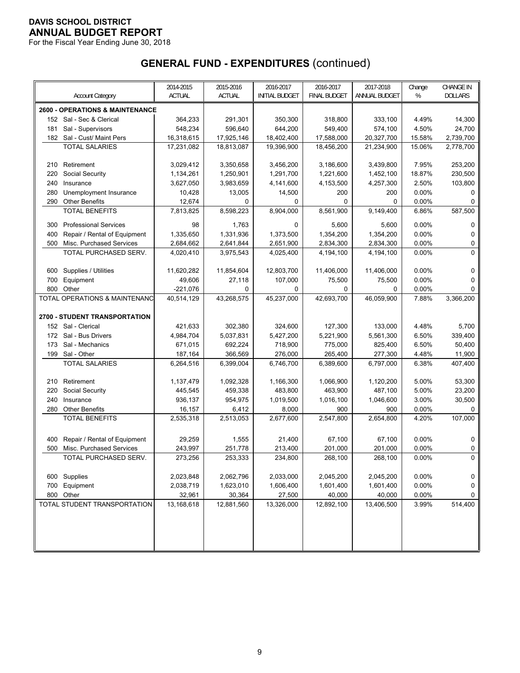For the Fiscal Year Ending June 30, 2018

|     |                                            | 2014-2015     | 2015-2016     | 2016-2017             | 2016-2017           | 2017-2018     | Change | <b>CHANGE IN</b> |
|-----|--------------------------------------------|---------------|---------------|-----------------------|---------------------|---------------|--------|------------------|
|     | <b>Account Category</b>                    | <b>ACTUAL</b> | <b>ACTUAL</b> | <b>INITIAL BUDGET</b> | <b>FINAL BUDGET</b> | ANNUAL BUDGET | %      | <b>DOLLARS</b>   |
|     | <b>2600 - OPERATIONS &amp; MAINTENANCE</b> |               |               |                       |                     |               |        |                  |
|     | 152 Sal - Sec & Clerical                   | 364,233       | 291,301       | 350,300               | 318,800             | 333,100       | 4.49%  | 14,300           |
| 181 | Sal - Supervisors                          | 548,234       | 596,640       | 644,200               | 549,400             | 574,100       | 4.50%  | 24,700           |
|     | 182 Sal - Cust/ Maint Pers                 | 16,318,615    | 17,925,146    | 18,402,400            | 17,588,000          | 20,327,700    | 15.58% | 2,739,700        |
|     | <b>TOTAL SALARIES</b>                      | 17,231,082    | 18,813,087    | 19,396,900            | 18,456,200          | 21,234,900    | 15.06% | 2,778,700        |
|     |                                            |               |               |                       |                     |               |        |                  |
| 210 | Retirement                                 | 3,029,412     | 3,350,658     | 3,456,200             | 3,186,600           | 3,439,800     | 7.95%  | 253,200          |
| 220 | Social Security                            | 1,134,261     | 1,250,901     | 1,291,700             | 1,221,600           | 1,452,100     | 18.87% | 230,500          |
| 240 | Insurance                                  | 3,627,050     | 3,983,659     | 4,141,600             | 4,153,500           | 4,257,300     | 2.50%  | 103,800          |
| 280 | Unemployment Insurance                     | 10,428        | 13,005        | 14,500                | 200                 | 200           | 0.00%  | 0                |
| 290 | <b>Other Benefits</b>                      | 12,674        | 0             | 0                     | $\mathbf 0$         | $\mathbf 0$   | 0.00%  | 0                |
|     | <b>TOTAL BENEFITS</b>                      | 7,813,825     | 8,598,223     | 8,904,000             | 8,561,900           | 9,149,400     | 6.86%  | 587,500          |
| 300 | <b>Professional Services</b>               | 98            | 1,763         | 0                     | 5,600               | 5,600         | 0.00%  | 0                |
| 400 | Repair / Rental of Equipment               | 1,335,650     | 1,331,936     | 1,373,500             | 1,354,200           | 1,354,200     | 0.00%  | 0                |
| 500 | Misc. Purchased Services                   | 2,684,662     | 2,641,844     | 2,651,900             | 2,834,300           | 2,834,300     | 0.00%  | 0                |
|     | TOTAL PURCHASED SERV.                      | 4,020,410     | 3,975,543     | 4,025,400             | 4,194,100           | 4,194,100     | 0.00%  | $\mathbf{0}$     |
|     |                                            |               |               |                       |                     |               |        |                  |
| 600 | Supplies / Utilities                       | 11,620,282    | 11,854,604    | 12,803,700            | 11,406,000          | 11,406,000    | 0.00%  | 0                |
| 700 | Equipment                                  | 49,606        | 27,118        | 107,000               | 75,500              | 75,500        | 0.00%  | 0                |
| 800 | Other                                      | $-221,076$    | $\Omega$      | $\Omega$              | 0                   | $\Omega$      | 0.00%  | 0                |
|     | TOTAL OPERATIONS & MAINTENANC              | 40,514,129    | 43,268,575    | 45,237,000            | 42,693,700          | 46,059,900    | 7.88%  | 3,366,200        |
|     | <b>2700 - STUDENT TRANSPORTATION</b>       |               |               |                       |                     |               |        |                  |
|     | 152 Sal - Clerical                         | 421,633       | 302,380       | 324,600               | 127,300             | 133,000       | 4.48%  | 5,700            |
| 172 | Sal - Bus Drivers                          | 4,984,704     | 5,037,831     | 5,427,200             | 5,221,900           | 5,561,300     | 6.50%  | 339,400          |
| 173 | Sal - Mechanics                            | 671,015       | 692,224       | 718,900               | 775,000             | 825,400       | 6.50%  | 50,400           |
| 199 | Sal - Other                                | 187,164       | 366,569       | 276,000               | 265,400             | 277,300       | 4.48%  | 11,900           |
|     | <b>TOTAL SALARIES</b>                      | 6,264,516     | 6,399,004     | 6,746,700             | 6,389,600           | 6,797,000     | 6.38%  | 407,400          |
|     |                                            |               |               |                       |                     |               |        |                  |
| 210 | Retirement                                 | 1,137,479     | 1,092,328     | 1,166,300             | 1,066,900           | 1,120,200     | 5.00%  | 53,300           |
| 220 | Social Security                            | 445,545       | 459,338       | 483,800               | 463,900             | 487,100       | 5.00%  | 23,200           |
| 240 | Insurance                                  | 936,137       | 954,975       | 1,019,500             | 1,016,100           | 1,046,600     | 3.00%  | 30,500           |
| 280 | <b>Other Benefits</b>                      | 16,157        | 6,412         | 8,000                 | 900                 | 900           | 0.00%  | 0                |
|     | <b>TOTAL BENEFITS</b>                      | 2,535,318     | 2,513,053     | 2,677,600             | 2,547,800           | 2,654,800     | 4.20%  | 107,000          |
|     |                                            |               |               |                       |                     |               |        |                  |
| 400 | Repair / Rental of Equipment               | 29,259        | 1,555         | 21,400                | 67,100              | 67,100        | 0.00%  | 0                |
| 500 | Misc. Purchased Services                   | 243,997       | 251,778       | 213,400               | 201,000             | 201,000       | 0.00%  | 0                |
|     | TOTAL PURCHASED SERV.                      | 273,256       | 253,333       | 234,800               | 268,100             | 268,100       | 0.00%  | $\mathbf 0$      |
|     |                                            |               |               |                       |                     |               |        |                  |
|     | 600 Supplies                               | 2,023,848     | 2,062,796     | 2,033,000             | 2,045,200           | 2,045,200     | 0.00%  | 0                |
| 700 | Equipment                                  | 2,038,719     | 1,623,010     | 1,606,400             | 1,601,400           | 1,601,400     | 0.00%  | $\mathbf 0$      |
|     | 800 Other                                  | 32,961        | 30,364        | 27,500                | 40,000              | 40,000        | 0.00%  | 0                |
|     | TOTAL STUDENT TRANSPORTATION               | 13,168,618    | 12,881,560    | 13,326,000            | 12,892,100          | 13,406,500    | 3.99%  | 514,400          |
|     |                                            |               |               |                       |                     |               |        |                  |
|     |                                            |               |               |                       |                     |               |        |                  |
|     |                                            |               |               |                       |                     |               |        |                  |
|     |                                            |               |               |                       |                     |               |        |                  |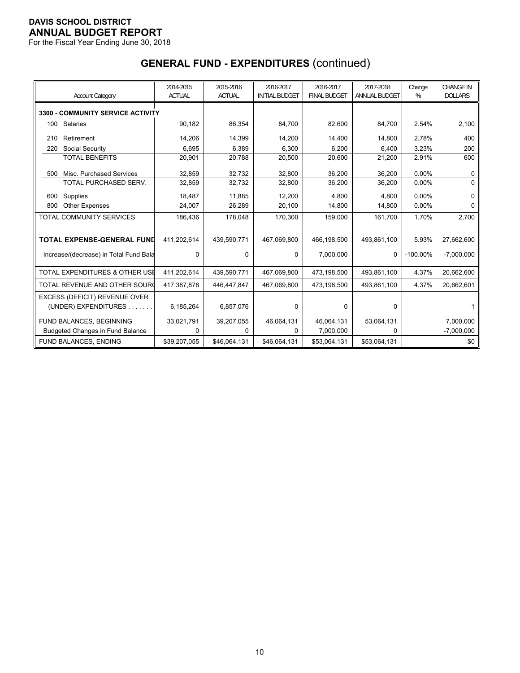For the Fiscal Year Ending June 30, 2018

| <b>Account Category</b>                   | 2014-2015<br><b>ACTUAL</b> | 2015-2016<br><b>ACTUAL</b> | 2016-2017<br><b>INITIAL BUDGET</b> | 2016-2017<br><b>FINAL BUDGET</b> | 2017-2018<br>ANNUAL BUDGET | Change<br>% | <b>CHANGE IN</b><br><b>DOLLARS</b> |
|-------------------------------------------|----------------------------|----------------------------|------------------------------------|----------------------------------|----------------------------|-------------|------------------------------------|
| 3300 - COMMUNITY SERVICE ACTIVITY         |                            |                            |                                    |                                  |                            |             |                                    |
| Salaries<br>100                           | 90,182                     | 86,354                     | 84,700                             | 82,600                           | 84,700                     | 2.54%       | 2,100                              |
| Retirement<br>210                         | 14,206                     | 14,399                     | 14,200                             | 14,400                           | 14,800                     | 2.78%       | 400                                |
| Social Security<br>220                    | 6,695                      | 6,389                      | 6,300                              | 6,200                            | 6,400                      | 3.23%       | 200                                |
| <b>TOTAL BENEFITS</b>                     | 20,901                     | 20,788                     | 20,500                             | 20,600                           | 21,200                     | 2.91%       | 600                                |
| Misc. Purchased Services<br>500           | 32,859                     | 32,732                     | 32,800                             | 36,200                           | 36,200                     | 0.00%       | O                                  |
| TOTAL PURCHASED SERV.                     | 32,859                     | 32,732                     | 32,800                             | 36,200                           | 36,200                     | 0.00%       | $\Omega$                           |
| Supplies<br>600                           | 18,487                     | 11,885                     | 12,200                             | 4,800                            | 4,800                      | 0.00%       | O                                  |
| <b>Other Expenses</b><br>800              | 24,007                     | 26,289                     | 20,100                             | 14,800                           | 14,800                     | $0.00\%$    | n                                  |
| TOTAL COMMUNITY SERVICES                  | 186,436                    | 178,048                    | 170.300                            | 159,000                          | 161,700                    | 1.70%       | 2,700                              |
| <b>TOTAL EXPENSE-GENERAL FUND</b>         | 411,202,614                | 439,590,771                | 467,069,800                        | 466,198,500                      | 493,861,100                | 5.93%       | 27,662,600                         |
| Increase/(decrease) in Total Fund Bala    | $\Omega$                   | 0                          | 0                                  | 7,000,000                        | $\mathbf 0$                | $-100.00\%$ | $-7,000,000$                       |
| <b>TOTAL EXPENDITURES &amp; OTHER USE</b> | 411,202,614                | 439,590,771                | 467,069,800                        | 473,198,500                      | 493,861,100                | 4.37%       | 20,662,600                         |
| TOTAL REVENUE AND OTHER SOUR              | 417,387,878                | 446,447,847                | 467,069,800                        | 473,198,500                      | 493,861,100                | 4.37%       | 20,662,601                         |
| EXCESS (DEFICIT) REVENUE OVER             |                            |                            |                                    |                                  |                            |             |                                    |
| (UNDER) EXPENDITURES.                     | 6,185,264                  | 6,857,076                  | 0                                  | $\mathbf 0$                      | 0                          |             |                                    |
| FUND BALANCES, BEGINNING                  | 33,021,791                 | 39,207,055                 | 46,064,131                         | 46,064,131                       | 53,064,131                 |             | 7,000,000                          |
| <b>Budgeted Changes in Fund Balance</b>   | 0                          | 0                          | 0                                  | 7,000,000                        | 0                          |             | $-7,000,000$                       |
| FUND BALANCES, ENDING                     | \$39,207,055               | \$46,064,131               | \$46,064,131                       | \$53,064,131                     | \$53,064,131               |             | \$0                                |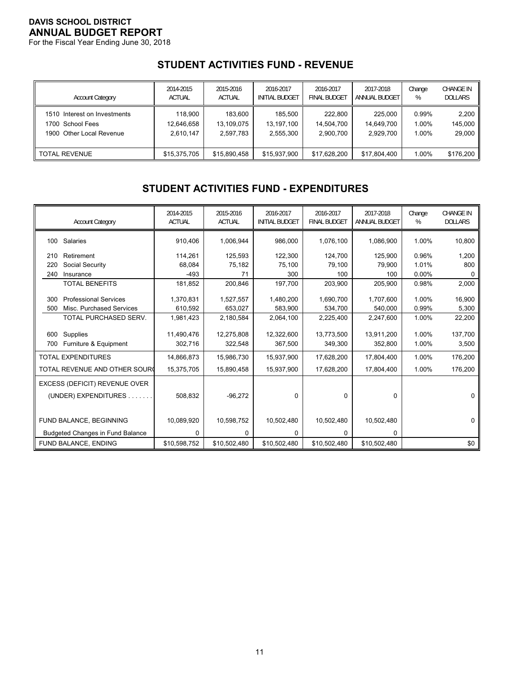For the Fiscal Year Ending June 30, 2018

# **STUDENT ACTIVITIES FUND - REVENUE**

| <b>Account Category</b>      | 2014-2015     | 2015-2016     | 2016-2017             | 2016-2017                | 2017-2018     | Change | <b>CHANGE IN</b> |
|------------------------------|---------------|---------------|-----------------------|--------------------------|---------------|--------|------------------|
|                              | <b>ACTUAL</b> | <b>ACTUAL</b> | <b>INITIAL BUDGET</b> | FINAL BUDGE <sup>-</sup> | ANNUAL BUDGET | %      | <b>DOLLARS</b>   |
| 1510 Interest on Investments | 118,900       | 183.600       | 185.500               | 222.800                  | 225.000       | 0.99%  | 2,200            |
| 1700 School Fees             | 12.646.658    | 13.109.075    | 13.197.100            | 14.504.700               | 14.649.700    | 1.00%  | 145,000          |
| 1900 Other Local Revenue     | 2.610.147     | 2.597.783     | 2,555,300             | 2.900.700                | 2.929.700     | 1.00%  | 29,000           |
| II TOTAL REVENUE             | \$15,375,705  | \$15.890.458  | \$15,937,900          | \$17.628.200             | \$17,804,400  | 1.00%  | \$176,200        |

# **STUDENT ACTIVITIES FUND - EXPENDITURES**

|     | <b>Account Category</b>                 | 2014-2015<br><b>ACTUAL</b> | 2015-2016<br><b>ACTUAL</b> | 2016-2017<br><b>INITIAL BUDGET</b> | 2016-2017<br><b>FINAL BUDGET</b> | 2017-2018<br><b>ANNUAL BUDGET</b> | Change<br>% | <b>CHANGE IN</b><br><b>DOLLARS</b> |
|-----|-----------------------------------------|----------------------------|----------------------------|------------------------------------|----------------------------------|-----------------------------------|-------------|------------------------------------|
| 100 | Salaries                                | 910,406                    | 1,006,944                  | 986,000                            | 1,076,100                        | 1,086,900                         | 1.00%       | 10,800                             |
| 210 | Retirement                              | 114,261                    | 125,593                    | 122,300                            | 124,700                          | 125,900                           | 0.96%       | 1,200                              |
| 220 | Social Security                         | 68,084                     | 75,182                     | 75,100                             | 79,100                           | 79,900                            | 1.01%       | 800                                |
| 240 | Insurance                               | $-493$                     | 71                         | 300                                | 100                              | 100                               | $0.00\%$    | 0                                  |
|     | <b>TOTAL BENEFITS</b>                   | 181,852                    | 200,846                    | 197,700                            | 203,900                          | 205,900                           | 0.98%       | 2,000                              |
| 300 | <b>Professional Services</b>            | 1,370,831                  | 1,527,557                  | 1,480,200                          | 1,690,700                        | 1,707,600                         | 1.00%       | 16,900                             |
| 500 | Misc. Purchased Services                | 610,592                    | 653,027                    | 583,900                            | 534,700                          | 540,000                           | 0.99%       | 5,300                              |
|     | TOTAL PURCHASED SERV.                   | 1,981,423                  | 2,180,584                  | 2,064,100                          | 2,225,400                        | 2,247,600                         | 1.00%       | 22,200                             |
|     |                                         |                            |                            |                                    |                                  |                                   |             |                                    |
| 600 | Supplies                                | 11,490,476                 | 12,275,808                 | 12,322,600                         | 13,773,500                       | 13,911,200                        | 1.00%       | 137,700                            |
| 700 | Furniture & Equipment                   | 302,716                    | 322,548                    | 367,500                            | 349,300                          | 352,800                           | 1.00%       | 3,500                              |
|     | <b>TOTAL EXPENDITURES</b>               | 14,866,873                 | 15,986,730                 | 15,937,900                         | 17,628,200                       | 17,804,400                        | 1.00%       | 176,200                            |
|     | TOTAL REVENUE AND OTHER SOURC           | 15,375,705                 | 15,890,458                 | 15,937,900                         | 17,628,200                       | 17,804,400                        | 1.00%       | 176,200                            |
|     | EXCESS (DEFICIT) REVENUE OVER           |                            |                            |                                    |                                  |                                   |             |                                    |
|     | (UNDER) EXPENDITURES                    | 508,832                    | $-96,272$                  | $\Omega$                           | $\Omega$                         | 0                                 |             | $\Omega$                           |
|     |                                         |                            |                            |                                    |                                  |                                   |             |                                    |
|     | FUND BALANCE, BEGINNING                 | 10,089,920                 | 10,598,752                 | 10,502,480                         | 10,502,480                       | 10,502,480                        |             | $\Omega$                           |
|     | <b>Budgeted Changes in Fund Balance</b> | $\Omega$                   | 0                          | 0                                  | 0                                | 0                                 |             |                                    |
|     | FUND BALANCE, ENDING                    | \$10,598,752               | \$10,502,480               | \$10,502,480                       | \$10,502,480                     | \$10,502,480                      |             | \$0                                |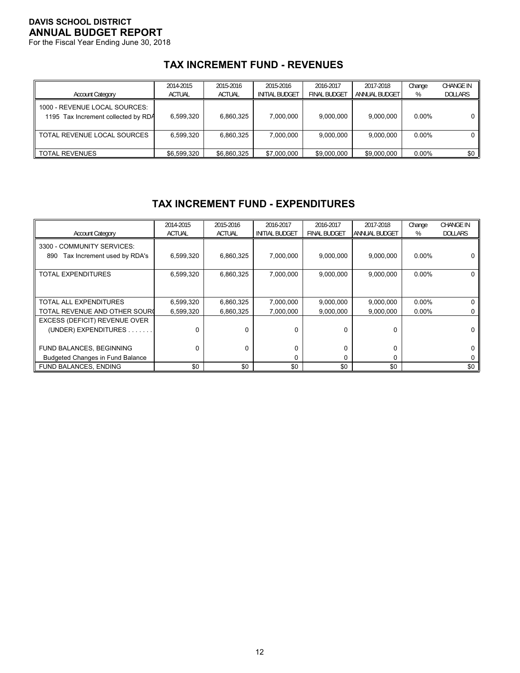For the Fiscal Year Ending June 30, 2018

# **TAX INCREMENT FUND - REVENUES**

| <b>Account Category</b>                                              | 2014-2015<br><b>ACTUAL</b> | 2015-2016<br><b>ACTUAL</b> | 2015-2016<br><b>INITIAL BUDGET</b> | 2016-2017<br><b>FINAL BUDGET</b> | 2017-2018<br>ANNUAL BUDGET | Change<br>% | <b>CHANGE IN</b><br><b>DOLLARS</b> |
|----------------------------------------------------------------------|----------------------------|----------------------------|------------------------------------|----------------------------------|----------------------------|-------------|------------------------------------|
| 1000 - REVENUE LOCAL SOURCES:<br>1195 Tax Increment collected by RDA | 6.599.320                  | 6,860,325                  | 7.000.000                          | 9.000.000                        | 9.000.000                  | $0.00\%$    |                                    |
| TOTAL REVENUE LOCAL SOURCES                                          | 6.599.320                  | 6,860,325                  | 7.000.000                          | 9.000.000                        | 9,000,000                  | $0.00\%$    |                                    |
| TOTAL REVENUES                                                       | \$6.599.320                | \$6,860,325                | \$7,000,000                        | \$9,000,000                      | \$9,000,000                | $0.00\%$    | \$0                                |

## **TAX INCREMENT FUND - EXPENDITURES**

| <b>Account Category</b>                                             | 2014-2015<br><b>ACTUAL</b> | 2015-2016<br><b>ACTUAL</b> | 2016-2017<br><b>INITIAL BUDGET</b> | 2016-2017<br><b>FINAL BUDGET</b> | 2017-2018<br><b>ANNUAL BUDGET</b> | Change<br>% | <b>CHANGE IN</b><br><b>DOLLARS</b> |
|---------------------------------------------------------------------|----------------------------|----------------------------|------------------------------------|----------------------------------|-----------------------------------|-------------|------------------------------------|
| 3300 - COMMUNITY SERVICES:<br>Tax Increment used by RDA's<br>890    | 6,599,320                  | 6,860,325                  | 7,000,000                          | 9,000,000                        | 9,000,000                         | $0.00\%$    |                                    |
| TOTAL EXPENDITURES                                                  | 6,599,320                  | 6,860,325                  | 7,000,000                          | 9,000,000                        | 9,000,000                         | $0.00\%$    | 0                                  |
| TOTAL ALL EXPENDITURES                                              | 6,599,320                  | 6,860,325                  | 7,000,000                          | 9,000,000                        | 9,000,000                         | $0.00\%$    | 0                                  |
| TOTAL REVENUE AND OTHER SOUR(                                       | 6,599,320                  | 6.860.325                  | 7,000,000                          | 9,000,000                        | 9,000,000                         | $0.00\%$    | 0                                  |
| EXCESS (DEFICIT) REVENUE OVER<br>(UNDER) EXPENDITURES               |                            |                            |                                    | $\Omega$                         | 0                                 |             | 0                                  |
| FUND BALANCES, BEGINNING<br><b>Budgeted Changes in Fund Balance</b> |                            | 0                          |                                    | 0<br>$\Omega$                    | 0<br>0                            |             | 0<br>0                             |
| FUND BALANCES, ENDING                                               | \$0                        | \$0                        | \$0                                | \$0                              | \$0                               |             | \$0                                |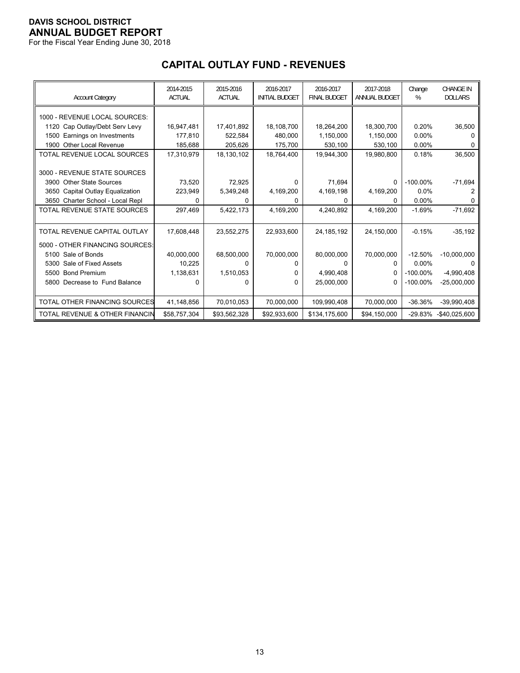For the Fiscal Year Ending June 30, 2018

# **CAPITAL OUTLAY FUND - REVENUES**

| <b>Account Category</b>                   | 2014-2015<br><b>ACTUAL</b> | 2015-2016<br><b>ACTUAL</b> | 2016-2017<br><b>INITIAL BUDGET</b> | 2016-2017<br><b>FINAL BUDGET</b> | 2017-2018<br><b>ANNUAL BUDGET</b> | Change<br>% | <b>CHANGE IN</b><br><b>DOLLARS</b> |
|-------------------------------------------|----------------------------|----------------------------|------------------------------------|----------------------------------|-----------------------------------|-------------|------------------------------------|
| 1000 - REVENUE LOCAL SOURCES:             |                            |                            |                                    |                                  |                                   |             |                                    |
| Cap Outlay/Debt Serv Levy<br>1120         | 16,947,481                 | 17,401,892                 | 18,108,700                         | 18,264,200                       | 18,300,700                        | 0.20%       | 36,500                             |
| Earnings on Investments<br>1500           | 177,810                    | 522,584                    | 480,000                            | 1,150,000                        | 1,150,000                         | 0.00%       |                                    |
| Other Local Revenue<br>1900               | 185,688                    | 205,626                    | 175,700                            | 530,100                          | 530,100                           | 0.00%       | n                                  |
| TOTAL REVENUE LOCAL SOURCES               | 17,310,979                 | 18,130,102                 | 18.764.400                         | 19,944,300                       | 19,980,800                        | 0.18%       | 36,500                             |
|                                           |                            |                            |                                    |                                  |                                   |             |                                    |
| 3000 - REVENUE STATE SOURCES              |                            |                            |                                    |                                  |                                   |             |                                    |
| <b>Other State Sources</b><br>3900        | 73,520                     | 72,925                     | 0                                  | 71,694                           | $\Omega$                          | $-100.00\%$ | $-71,694$                          |
| Capital Outlay Equalization<br>3650       | 223,949                    | 5,349,248                  | 4,169,200                          | 4,169,198                        | 4,169,200                         | 0.0%        |                                    |
| Charter School - Local Repl<br>3650       | 0                          | O                          | 0                                  | $\Omega$                         | 0                                 | 0.00%       |                                    |
| TOTAL REVENUE STATE SOURCES               | 297,469                    | 5,422,173                  | 4,169,200                          | 4,240,892                        | 4,169,200                         | $-1.69%$    | $-71,692$                          |
|                                           |                            |                            |                                    |                                  |                                   |             |                                    |
| TOTAL REVENUE CAPITAL OUTLAY              | 17,608,448                 | 23,552,275                 | 22,933,600                         | 24, 185, 192                     | 24,150,000                        | $-0.15%$    | $-35,192$                          |
| 5000 - OTHER FINANCING SOURCES:           |                            |                            |                                    |                                  |                                   |             |                                    |
| 5100 Sale of Bonds                        | 40,000,000                 | 68,500,000                 | 70,000,000                         | 80,000,000                       | 70,000,000                        | $-12.50%$   | $-10,000,000$                      |
| Sale of Fixed Assets<br>5300              | 10,225                     |                            | o                                  | 0                                | 0                                 | $0.00\%$    |                                    |
| <b>Bond Premium</b><br>5500               | 1,138,631                  | 1,510,053                  | 0                                  | 4,990,408                        | 0                                 | $-100.00\%$ | $-4,990,408$                       |
| 5800 Decrease to Fund Balance             | 0                          |                            | 0                                  | 25,000,000                       | 0                                 | $-100.00\%$ | $-25,000,000$                      |
|                                           |                            |                            |                                    |                                  |                                   |             |                                    |
| TOTAL OTHER FINANCING SOURCES             | 41,148,856                 | 70,010,053                 | 70,000,000                         | 109,990,408                      | 70,000,000                        | $-36.36%$   | $-39,990,408$                      |
| <b>TOTAL REVENUE &amp; OTHER FINANCIN</b> | \$58,757,304               | \$93,562,328               | \$92,933,600                       | \$134,175,600                    | \$94,150,000                      |             | -29.83% -\$40,025,600              |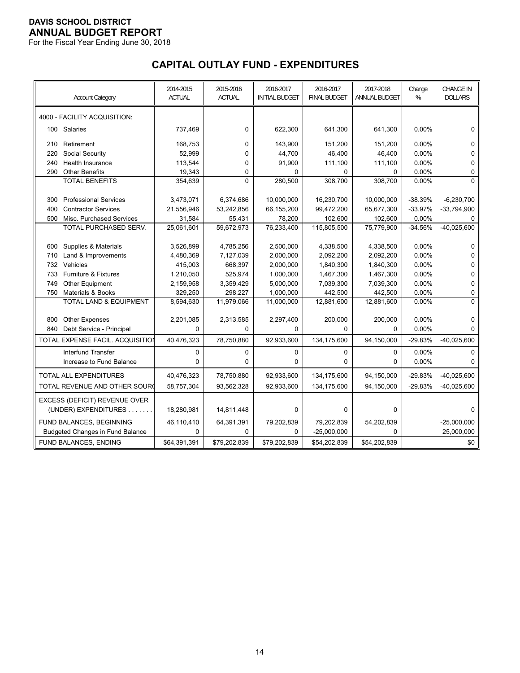For the Fiscal Year Ending June 30, 2018

# **CAPITAL OUTLAY FUND - EXPENDITURES**

|     | <b>Account Category</b>                 | 2014-2015<br>ACTUAL | 2015-2016<br><b>ACTUAL</b> | 2016-2017<br><b>INITIAL BUDGET</b> | 2016-2017<br><b>FINAL BUDGET</b> | 2017-2018<br>ANNUAL BUDGET | Change<br>$\%$ | <b>CHANGE IN</b><br><b>DOLLARS</b> |
|-----|-----------------------------------------|---------------------|----------------------------|------------------------------------|----------------------------------|----------------------------|----------------|------------------------------------|
|     | 4000 - FACILITY ACQUISITION:            |                     |                            |                                    |                                  |                            |                |                                    |
| 100 | Salaries                                | 737,469             | 0                          | 622,300                            | 641,300                          | 641,300                    | 0.00%          | 0                                  |
| 210 | Retirement                              | 168,753             | 0                          | 143,900                            | 151,200                          | 151,200                    | $0.00\%$       | 0                                  |
| 220 | Social Security                         | 52,999              | 0                          | 44,700                             | 46,400                           | 46,400                     | 0.00%          | 0                                  |
| 240 | Health Insurance                        | 113,544             | 0                          | 91,900                             | 111,100                          | 111,100                    | 0.00%          | 0                                  |
| 290 | <b>Other Benefits</b>                   | 19,343              | 0                          | $\Omega$                           | $\Omega$                         | $\Omega$                   | 0.00%          | 0                                  |
|     | <b>TOTAL BENEFITS</b>                   | 354,639             | $\Omega$                   | 280,500                            | 308,700                          | 308,700                    | 0.00%          | $\Omega$                           |
|     |                                         |                     |                            |                                    |                                  |                            |                |                                    |
| 300 | <b>Professional Services</b>            | 3,473,071           | 6,374,686                  | 10,000,000                         | 16,230,700                       | 10,000,000                 | -38.39%        | $-6,230,700$                       |
| 400 | <b>Contractor Services</b>              | 21,556,946          | 53,242,856                 | 66,155,200                         | 99,472,200                       | 65,677,300                 | $-33.97%$      | $-33,794,900$                      |
| 500 | Misc. Purchased Services                | 31,584              | 55,431                     | 78,200                             | 102,600                          | 102,600                    | 0.00%          | 0                                  |
|     | TOTAL PURCHASED SERV.                   | 25,061,601          | 59,672,973                 | 76,233,400                         | 115,805,500                      | 75,779,900                 | $-34.56%$      | $-40,025,600$                      |
|     |                                         |                     |                            |                                    |                                  |                            |                |                                    |
| 600 | Supplies & Materials                    | 3,526,899           | 4,785,256                  | 2,500,000                          | 4,338,500                        | 4,338,500                  | 0.00%          | 0                                  |
| 710 | Land & Improvements                     | 4,480,369           | 7,127,039                  | 2,000,000                          | 2,092,200                        | 2,092,200                  | 0.00%          | 0                                  |
| 732 | Vehicles                                | 415,003             | 668,397                    | 2,000,000                          | 1,840,300                        | 1,840,300                  | 0.00%          | 0                                  |
| 733 | <b>Furniture &amp; Fixtures</b>         | 1,210,050           | 525,974                    | 1,000,000                          | 1,467,300                        | 1,467,300                  | $0.00\%$       | 0                                  |
| 749 | <b>Other Equipment</b>                  | 2,159,958           | 3,359,429                  | 5,000,000                          | 7,039,300                        | 7,039,300                  | 0.00%          | $\Omega$                           |
| 750 | <b>Materials &amp; Books</b>            | 329,250             | 298,227                    | 1,000,000                          | 442,500                          | 442,500                    | 0.00%          | 0                                  |
|     | TOTAL LAND & EQUIPMENT                  | 8,594,630           | 11,979,066                 | 11,000,000                         | 12,881,600                       | 12,881,600                 | 0.00%          | $\Omega$                           |
| 800 | <b>Other Expenses</b>                   | 2,201,085           | 2,313,585                  | 2,297,400                          | 200,000                          | 200,000                    | 0.00%          | 0                                  |
| 840 | Debt Service - Principal                | $\Omega$            | $\Omega$                   | $\Omega$                           | $\Omega$                         | $\Omega$                   | 0.00%          | $\Omega$                           |
|     | TOTAL EXPENSE FACIL. ACQUISITION        | 40,476,323          | 78,750,880                 | 92,933,600                         | 134,175,600                      | 94,150,000                 | $-29.83%$      | $-40,025,600$                      |
|     | <b>Interfund Transfer</b>               | 0                   | $\mathbf 0$                | 0                                  | $\mathbf 0$                      | $\mathbf 0$                | 0.00%          | $\mathbf 0$                        |
|     | Increase to Fund Balance                | 0                   | $\Omega$                   | $\mathbf 0$                        | 0                                | 0                          | 0.00%          | 0                                  |
|     | <b>TOTAL ALL EXPENDITURES</b>           | 40,476,323          | 78,750,880                 | 92,933,600                         | 134,175,600                      | 94,150,000                 | $-29.83%$      | $-40,025,600$                      |
|     | TOTAL REVENUE AND OTHER SOUR            | 58,757,304          | 93,562,328                 | 92,933,600                         | 134,175,600                      | 94,150,000                 | $-29.83%$      | $-40,025,600$                      |
|     | EXCESS (DEFICIT) REVENUE OVER           |                     |                            |                                    |                                  |                            |                |                                    |
|     | (UNDER) EXPENDITURES.<br>.              | 18,280,981          | 14,811,448                 | 0                                  | $\Omega$                         | $\Omega$                   |                | 0                                  |
|     | FUND BALANCES, BEGINNING                | 46,110,410          | 64,391,391                 | 79,202,839                         | 79,202,839                       | 54,202,839                 |                | $-25,000,000$                      |
|     | <b>Budgeted Changes in Fund Balance</b> | 0                   | 0                          | 0                                  | $-25,000,000$                    | 0                          |                | 25,000,000                         |
|     | FUND BALANCES, ENDING                   | \$64,391,391        | \$79,202,839               | \$79,202,839                       | \$54,202,839                     | \$54,202,839               |                | \$0                                |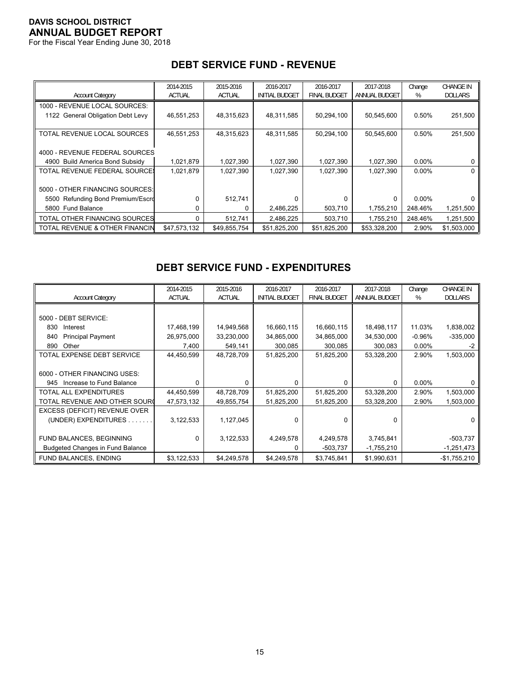For the Fiscal Year Ending June 30, 2018

|                                   | 2014-2015     | 2015-2016     | 2016-2017             | 2016-2017           | 2017-2018     | Change   | <b>CHANGE IN</b> |
|-----------------------------------|---------------|---------------|-----------------------|---------------------|---------------|----------|------------------|
| <b>Account Category</b>           | <b>ACTUAL</b> | <b>ACTUAL</b> | <b>INITIAL BUDGET</b> | <b>FINAL BUDGET</b> | ANNUAL BUDGET | %        | <b>DOLLARS</b>   |
| 1000 - REVENUE LOCAL SOURCES:     |               |               |                       |                     |               |          |                  |
| 1122 General Obligation Debt Levy | 46,551,253    | 48,315,623    | 48,311,585            | 50,294,100          | 50,545,600    | 0.50%    | 251,500          |
|                                   |               |               |                       |                     |               |          |                  |
| TOTAL REVENUE LOCAL SOURCES       | 46,551,253    | 48,315,623    | 48,311,585            | 50,294,100          | 50,545,600    | 0.50%    | 251,500          |
|                                   |               |               |                       |                     |               |          |                  |
| 4000 - REVENUE FEDERAL SOURCES    |               |               |                       |                     |               |          |                  |
| 4900 Build America Bond Subsidy   | 1,021,879     | 1,027,390     | 1,027,390             | 1,027,390           | 1,027,390     | $0.00\%$ | 0                |
| TOTAL REVENUE FEDERAL SOURCE:     | 1,021,879     | 1,027,390     | 1,027,390             | 1,027,390           | 1,027,390     | $0.00\%$ | 0                |
|                                   |               |               |                       |                     |               |          |                  |
| 5000 - OTHER FINANCING SOURCES:   |               |               |                       |                     |               |          |                  |
| 5500 Refunding Bond Premium/Escro |               | 512,741       |                       | 0                   | $\Omega$      | $0.00\%$ |                  |
| 5800 Fund Balance                 |               | U             | 2,486,225             | 503,710             | 1,755,210     | 248.46%  | 1,251,500        |
| TOTAL OTHER FINANCING SOURCES     |               | 512,741       | 2,486,225             | 503.710             | 1,755,210     | 248.46%  | 1,251,500        |
| TOTAL REVENUE & OTHER FINANCIN    | \$47,573,132  | \$49,855,754  | \$51,825,200          | \$51,825,200        | \$53,328,200  | 2.90%    | \$1,503,000      |

# **DEBT SERVICE FUND - REVENUE**

# **DEBT SERVICE FUND - EXPENDITURES**

|                                         | 2014-2015     | 2015-2016     | 2016-2017             | 2016-2017           | 2017-2018     | Change    | <b>CHANGE IN</b> |
|-----------------------------------------|---------------|---------------|-----------------------|---------------------|---------------|-----------|------------------|
| <b>Account Category</b>                 | <b>ACTUAL</b> | <b>ACTUAL</b> | <b>INITIAL BUDGET</b> | <b>FINAL BUDGET</b> | ANNUAL BUDGET | %         | <b>DOLLARS</b>   |
|                                         |               |               |                       |                     |               |           |                  |
| 5000 - DEBT SERVICE:                    |               |               |                       |                     |               |           |                  |
| 830<br>Interest                         | 17,468,199    | 14,949,568    | 16,660,115            | 16,660,115          | 18,498,117    | 11.03%    | 1,838,002        |
| <b>Principal Payment</b><br>840         | 26,975,000    | 33,230,000    | 34,865,000            | 34,865,000          | 34,530,000    | $-0.96\%$ | $-335,000$       |
| Other<br>890                            | 7,400         | 549,141       | 300,085               | 300,085             | 300,083       | $0.00\%$  | -2               |
| TOTAL EXPENSE DEBT SERVICE              | 44,450,599    | 48,728,709    | 51,825,200            | 51,825,200          | 53,328,200    | 2.90%     | 1,503,000        |
|                                         |               |               |                       |                     |               |           |                  |
| 6000 - OTHER FINANCING USES:            |               |               |                       |                     |               |           |                  |
| Increase to Fund Balance<br>945         | 0             | U             | $\Omega$              | $\Omega$            | 0             | $0.00\%$  |                  |
| <b>TOTAL ALL EXPENDITURES</b>           | 44,450,599    | 48,728,709    | 51,825,200            | 51,825,200          | 53,328,200    | 2.90%     | 1,503,000        |
| TOTAL REVENUE AND OTHER SOURC           | 47,573,132    | 49,855,754    | 51,825,200            | 51,825,200          | 53,328,200    | 2.90%     | 1,503,000        |
| EXCESS (DEFICIT) REVENUE OVER           |               |               |                       |                     |               |           |                  |
| (UNDER) EXPENDITURES.                   | 3,122,533     | 1,127,045     | $\Omega$              | $\Omega$            | 0             |           |                  |
|                                         |               |               |                       |                     |               |           |                  |
| FUND BALANCES, BEGINNING                | $\Omega$      | 3,122,533     | 4,249,578             | 4,249,578           | 3,745,841     |           | $-503,737$       |
| <b>Budgeted Changes in Fund Balance</b> |               |               |                       | -503,737            | $-1,755,210$  |           | $-1,251,473$     |
| FUND BALANCES, ENDING                   | \$3,122,533   | \$4,249,578   | \$4,249,578           | \$3,745,841         | \$1,990,631   |           | $-$1,755,210$    |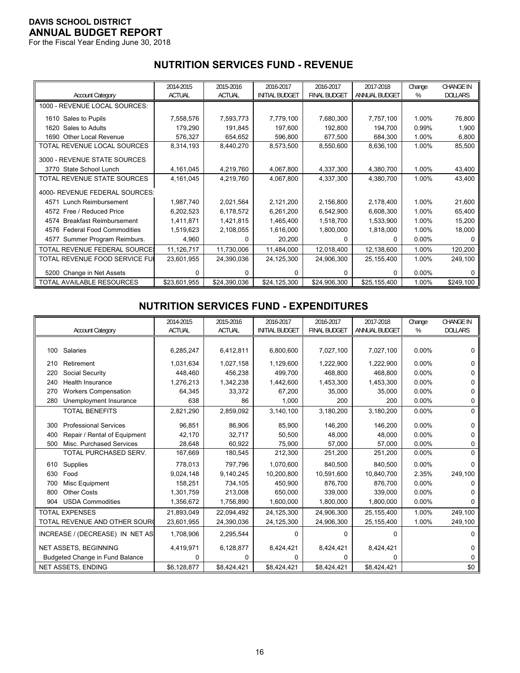For the Fiscal Year Ending June 30, 2018

# **NUTRITION SERVICES FUND - REVENUE**

|                                      | 2014-2015     | 2015-2016     | 2016-2017             | 2016-2017           | 2017-2018     | Change   | <b>CHANGE IN</b> |
|--------------------------------------|---------------|---------------|-----------------------|---------------------|---------------|----------|------------------|
| <b>Account Category</b>              | <b>ACTUAL</b> | <b>ACTUAL</b> | <b>INITIAL BUDGET</b> | <b>FINAL BUDGET</b> | ANNUAL BUDGET | %        | <b>DOLLARS</b>   |
| 1000 - REVENUE LOCAL SOURCES:        |               |               |                       |                     |               |          |                  |
| 1610 Sales to Pupils                 | 7,558,576     | 7,593,773     | 7,779,100             | 7,680,300           | 7,757,100     | 1.00%    | 76,800           |
| Sales to Adults<br>1620              | 179,290       | 191,845       | 197,600               | 192,800             | 194,700       | 0.99%    | 1,900            |
| 1690 Other Local Revenue             | 576,327       | 654,652       | 596,800               | 677,500             | 684,300       | 1.00%    | 6,800            |
| TOTAL REVENUE LOCAL SOURCES          | 8,314,193     | 8,440,270     | 8,573,500             | 8,550,600           | 8,636,100     | 1.00%    | 85,500           |
| 3000 - REVENUE STATE SOURCES         |               |               |                       |                     |               |          |                  |
| 3770 State School Lunch              | 4,161,045     | 4,219,760     | 4,067,800             | 4,337,300           | 4,380,700     | 1.00%    | 43,400           |
| TOTAL REVENUE STATE SOURCES          | 4,161,045     | 4,219,760     | 4,067,800             | 4,337,300           | 4,380,700     | 1.00%    | 43,400           |
| 4000- REVENUE FEDERAL SOURCES:       |               |               |                       |                     |               |          |                  |
| 4571 Lunch Reimbursement             | 1,987,740     | 2,021,564     | 2,121,200             | 2,156,800           | 2,178,400     | 1.00%    | 21,600           |
| 4572 Free / Reduced Price            | 6,202,523     | 6,178,572     | 6,261,200             | 6,542,900           | 6,608,300     | 1.00%    | 65,400           |
| 4574 Breakfast Reimbursement         | 1,411,871     | 1,421,815     | 1,465,400             | 1,518,700           | 1,533,900     | 1.00%    | 15,200           |
| 4576 Federal Food Commodities        | 1,519,623     | 2,108,055     | 1,616,000             | 1,800,000           | 1,818,000     | 1.00%    | 18,000           |
| Summer Program Reimburs.<br>4577     | 4,960         | 0             | 20,200                | 0                   | 0             | $0.00\%$ | 0                |
| <b>TOTAL REVENUE FEDERAL SOURCE:</b> | 11,126,717    | 11,730,006    | 11,484,000            | 12,018,400          | 12,138,600    | 1.00%    | 120,200          |
| TOTAL REVENUE FOOD SERVICE FUI       | 23,601,955    | 24,390,036    | 24,125,300            | 24,906,300          | 25,155,400    | 1.00%    | 249,100          |
| 5200 Change in Net Assets            | 0             | O             | 0                     | 0                   | 0             | $0.00\%$ | 0                |
| TOTAL AVAILABLE RESOURCES            | \$23,601,955  | \$24,390,036  | \$24,125,300          | \$24,906,300        | \$25,155,400  | 1.00%    | \$249,100        |

#### **NUTRITION SERVICES FUND - EXPENDITURES**

|     |                                        | 2014-2015     | 2015-2016     | 2016-2017             | 2016-2017           | 2017-2018            | Change   | <b>CHANGE IN</b> |
|-----|----------------------------------------|---------------|---------------|-----------------------|---------------------|----------------------|----------|------------------|
|     | <b>Account Category</b>                | <b>ACTUAL</b> | <b>ACTUAL</b> | <b>INITIAL BUDGET</b> | <b>FINAL BUDGET</b> | <b>ANNUAL BUDGET</b> | %        | <b>DOLLARS</b>   |
|     |                                        |               |               |                       |                     |                      |          |                  |
| 100 | Salaries                               | 6,285,247     | 6,412,811     | 6,800,600             | 7,027,100           | 7,027,100            | 0.00%    | 0                |
| 210 | Retirement                             | 1,031,634     | 1,027,158     | 1,129,600             | 1,222,900           | 1,222,900            | 0.00%    | 0                |
| 220 | Social Security                        | 448,460       | 456,238       | 499,700               | 468,800             | 468.800              | 0.00%    | 0                |
| 240 | Health Insurance                       | 1,276,213     | 1,342,238     | 1,442,600             | 1,453,300           | 1,453,300            | $0.00\%$ | U                |
| 270 | <b>Workers Compensation</b>            | 64,345        | 33,372        | 67,200                | 35,000              | 35,000               | 0.00%    | 0                |
| 280 | Unemployment Insurance                 | 638           | 86            | 1,000                 | 200                 | 200                  | 0.00%    | 0                |
|     | <b>TOTAL BENEFITS</b>                  | 2,821,290     | 2,859,092     | 3,140,100             | 3,180,200           | 3,180,200            | 0.00%    | 0                |
| 300 | <b>Professional Services</b>           | 96,851        | 86,906        | 85,900                | 146,200             | 146,200              | $0.00\%$ | 0                |
| 400 | Repair / Rental of Equipment           | 42,170        | 32,717        | 50,500                | 48,000              | 48.000               | $0.00\%$ | 0                |
| 500 | Misc. Purchased Services               | 28,648        | 60,922        | 75,900                | 57,000              | 57,000               | 0.00%    | 0                |
|     | TOTAL PURCHASED SERV.                  | 167,669       | 180,545       | 212,300               | 251,200             | 251,200              | 0.00%    | $\Omega$         |
| 610 | Supplies                               | 778.013       | 797.796       | 1,070,600             | 840,500             | 840.500              | 0.00%    | 0                |
| 630 | Food                                   | 9,024,148     | 9,140,245     | 10,200,800            | 10,591,600          | 10,840,700           | 2.35%    | 249,100          |
| 700 | Misc Equipment                         | 158,251       | 734,105       | 450.900               | 876.700             | 876.700              | 0.00%    | 0                |
| 800 | <b>Other Costs</b>                     | 1,301,759     | 213,008       | 650,000               | 339,000             | 339,000              | $0.00\%$ | n                |
| 904 | <b>USDA Commodities</b>                | 1,356,672     | 1,756,890     | 1,600,000             | 1,800,000           | 1,800,000            | $0.00\%$ | 0                |
|     | <b>TOTAL EXPENSES</b>                  | 21,893,049    | 22,094,492    | 24,125,300            | 24,906,300          | 25,155,400           | 1.00%    | 249,100          |
|     | TOTAL REVENUE AND OTHER SOURC          | 23,601,955    | 24,390,036    | 24,125,300            | 24,906,300          | 25,155,400           | 1.00%    | 249,100          |
|     | INCREASE / (DECREASE) IN NET AS        | 1,708,906     | 2,295,544     | 0                     | $\Omega$            | $\Omega$             |          | 0                |
|     | <b>NET ASSETS, BEGINNING</b>           | 4,419,971     | 6,128,877     | 8,424,421             | 8,424,421           | 8,424,421            |          | 0                |
|     | <b>Budgeted Change in Fund Balance</b> | 0             | 0             | 0                     | 0                   | 0                    |          | 0                |
|     | NET ASSETS, ENDING                     | \$6,128,877   | \$8,424,421   | \$8,424,421           | \$8,424,421         | \$8,424,421          |          | \$0              |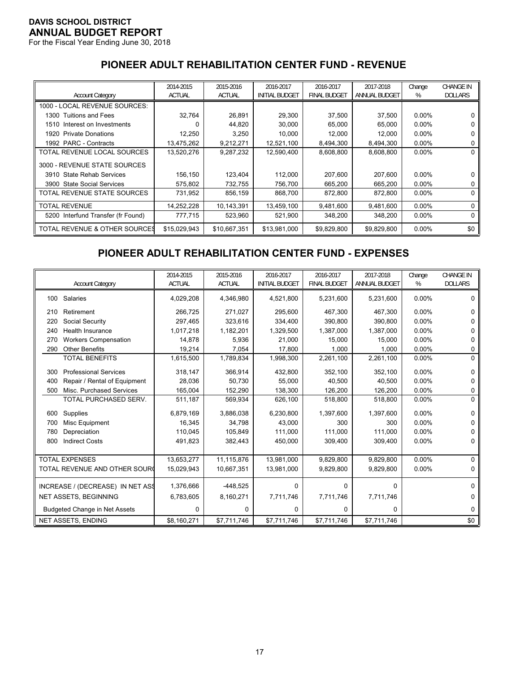For the Fiscal Year Ending June 30, 2018

# **PIONEER ADULT REHABILITATION CENTER FUND - REVENUE**

|                                      | 2014-2015     | 2015-2016     | 2016-2017             | 2016-2017           | 2017-2018     | Change   | <b>CHANGE IN</b> |
|--------------------------------------|---------------|---------------|-----------------------|---------------------|---------------|----------|------------------|
| <b>Account Category</b>              | <b>ACTUAL</b> | <b>ACTUAL</b> | <b>INITIAL BUDGET</b> | <b>FINAL BUDGET</b> | ANNUAL BUDGET | %        | <b>DOLLARS</b>   |
| 1000 - LOCAL REVENUE SOURCES:        |               |               |                       |                     |               |          |                  |
| 1300 Tuitions and Fees               | 32,764        | 26,891        | 29,300                | 37,500              | 37,500        | $0.00\%$ | 0                |
| 1510 Interest on Investments         |               | 44,820        | 30,000                | 65,000              | 65,000        | $0.00\%$ | 0                |
| <b>Private Donations</b><br>1920     | 12,250        | 3,250         | 10,000                | 12,000              | 12,000        | $0.00\%$ | 0                |
| 1992 PARC - Contracts                | 13,475,262    | 9,212,271     | 12,521,100            | 8,494,300           | 8,494,300     | $0.00\%$ | 0                |
| TOTAL REVENUE LOCAL SOURCES          | 13,520,276    | 9,287,232     | 12,590,400            | 8,608,800           | 8,608,800     | $0.00\%$ | 0                |
| 3000 - REVENUE STATE SOURCES         |               |               |                       |                     |               |          |                  |
| 3910 State Rehab Services            | 156,150       | 123,404       | 112.000               | 207,600             | 207.600       | $0.00\%$ | 0                |
| <b>State Social Services</b><br>3900 | 575,802       | 732,755       | 756,700               | 665,200             | 665,200       | $0.00\%$ | 0                |
| TOTAL REVENUE STATE SOURCES          | 731,952       | 856,159       | 868.700               | 872.800             | 872,800       | $0.00\%$ | 0                |
| TOTAL REVENUE                        | 14,252,228    | 10,143,391    | 13,459,100            | 9,481,600           | 9,481,600     | $0.00\%$ | 0                |
| 5200 Interfund Transfer (fr Found)   | 777,715       | 523,960       | 521,900               | 348,200             | 348,200       | $0.00\%$ | 0                |
| TOTAL REVENUE & OTHER SOURCES        | \$15,029,943  | \$10,667,351  | \$13,981,000          | \$9,829,800         | \$9,829,800   | $0.00\%$ | \$0              |

# **PIONEER ADULT REHABILITATION CENTER FUND - EXPENSES**

|     | <b>Account Category</b>              | 2014-2015<br><b>ACTUAL</b> | 2015-2016<br><b>ACTUAL</b> | 2016-2017<br><b>INITIAL BUDGET</b> | 2016-2017<br><b>FINAL BUDGET</b> | 2017-2018<br>ANNUAL BUDGET | Change<br>% | <b>CHANGE IN</b><br><b>DOLLARS</b> |
|-----|--------------------------------------|----------------------------|----------------------------|------------------------------------|----------------------------------|----------------------------|-------------|------------------------------------|
| 100 | Salaries                             | 4,029,208                  | 4,346,980                  | 4,521,800                          | 5,231,600                        | 5,231,600                  | $0.00\%$    | 0                                  |
| 210 | Retirement                           | 266,725                    | 271,027                    | 295,600                            | 467,300                          | 467,300                    | 0.00%       | 0                                  |
| 220 | Social Security                      | 297,465                    | 323,616                    | 334,400                            | 390,800                          | 390,800                    | $0.00\%$    |                                    |
| 240 | Health Insurance                     | 1,017,218                  | 1,182,201                  | 1,329,500                          | 1,387,000                        | 1,387,000                  | $0.00\%$    | 0                                  |
| 270 | <b>Workers Compensation</b>          | 14,878                     | 5.936                      | 21.000                             | 15.000                           | 15.000                     | 0.00%       | 0                                  |
| 290 | <b>Other Benefits</b>                | 19,214                     | 7,054                      | 17,800                             | 1,000                            | 1,000                      | 0.00%       | 0                                  |
|     | <b>TOTAL BENEFITS</b>                | 1,615,500                  | 1,789,834                  | 1,998,300                          | 2,261,100                        | 2,261,100                  | $0.00\%$    | $\Omega$                           |
| 300 | <b>Professional Services</b>         | 318,147                    | 366,914                    | 432,800                            | 352,100                          | 352,100                    | $0.00\%$    | 0                                  |
| 400 | Repair / Rental of Equipment         | 28,036                     | 50,730                     | 55.000                             | 40.500                           | 40.500                     | 0.00%       | 0                                  |
| 500 | Misc. Purchased Services             | 165,004                    | 152,290                    | 138,300                            | 126,200                          | 126,200                    | $0.00\%$    | 0                                  |
|     | TOTAL PURCHASED SERV.                | 511,187                    | 569,934                    | 626,100                            | 518,800                          | 518,800                    | $0.00\%$    | $\Omega$                           |
| 600 | Supplies                             | 6,879,169                  | 3,886,038                  | 6,230,800                          | 1,397,600                        | 1,397,600                  | 0.00%       | 0                                  |
| 700 | Misc Equipment                       | 16,345                     | 34,798                     | 43,000                             | 300                              | 300                        | 0.00%       | 0                                  |
| 780 | Depreciation                         | 110,045                    | 105,849                    | 111,000                            | 111.000                          | 111,000                    | $0.00\%$    | U                                  |
| 800 | <b>Indirect Costs</b>                | 491,823                    | 382,443                    | 450,000                            | 309,400                          | 309,400                    | 0.00%       | 0                                  |
|     | <b>TOTAL EXPENSES</b>                | 13,653,277                 | 11,115,876                 | 13,981,000                         | 9,829,800                        | 9,829,800                  | 0.00%       | $\Omega$                           |
|     | TOTAL REVENUE AND OTHER SOUR         | 15,029,943                 | 10,667,351                 | 13,981,000                         | 9,829,800                        | 9,829,800                  | 0.00%       | 0                                  |
|     |                                      |                            |                            |                                    |                                  |                            |             |                                    |
|     | INCREASE / (DECREASE) IN NET ASS     | 1,376,666                  | $-448,525$                 | 0                                  | $\Omega$                         | $\Omega$                   |             | $\Omega$                           |
|     | <b>NET ASSETS, BEGINNING</b>         | 6,783,605                  | 8,160,271                  | 7,711,746                          | 7,711,746                        | 7,711,746                  |             | 0                                  |
|     | <b>Budgeted Change in Net Assets</b> | 0                          | 0                          | 0                                  | 0                                | 0                          |             | 0                                  |
|     | <b>NET ASSETS, ENDING</b>            | \$8,160,271                | \$7,711,746                | \$7,711,746                        | \$7,711,746                      | \$7,711,746                |             | \$0                                |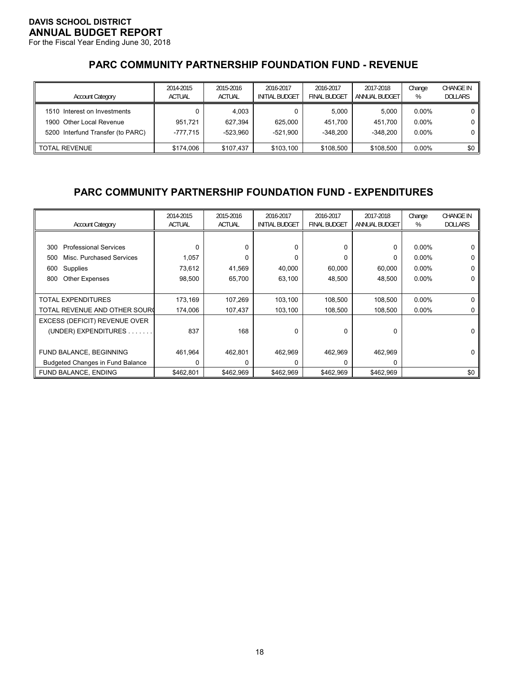For the Fiscal Year Ending June 30, 2018

# **PARC COMMUNITY PARTNERSHIP FOUNDATION FUND - REVENUE**

| <b>Account Category</b>           | 2014-2015<br><b>ACTUAL</b> | 2015-2016<br><b>ACTUAL</b> | 2016-2017<br><b>INITIAL BUDGET</b> | 2016-2017<br><b>FINAL BUDGET</b> | 2017-2018<br>ANNUAL BUDGET | Change<br>% | <b>CHANGE IN</b><br><b>DOLLARS</b> |
|-----------------------------------|----------------------------|----------------------------|------------------------------------|----------------------------------|----------------------------|-------------|------------------------------------|
| 1510 Interest on Investments      |                            | 4.003                      |                                    | 5.000                            | 5.000                      | $0.00\%$    |                                    |
| 1900 Other Local Revenue          | 951.721                    | 627.394                    | 625.000                            | 451.700                          | 451.700                    | $0.00\%$    |                                    |
| 5200 Interfund Transfer (to PARC) | -777.715                   | $-523.960$                 | $-521.900$                         | $-348.200$                       | $-348.200$                 | $0.00\%$    |                                    |
| <b>TOTAL REVENUE</b>              | \$174.006                  | \$107.437                  | \$103,100                          | \$108,500                        | \$108,500                  | $0.00\%$    | $$0$ $\vert$                       |

# **PARC COMMUNITY PARTNERSHIP FOUNDATION FUND - EXPENDITURES**

| <b>Account Category</b>                 | 2014-2015<br><b>ACTUAL</b> | 2015-2016<br><b>ACTUAL</b> | 2016-2017<br><b>INITIAL BUDGET</b> | 2016-2017<br><b>FINAL BUDGET</b> | 2017-2018<br><b>ANNUAL BUDGET</b> | Change<br>% | <b>CHANGE IN</b><br><b>DOLLARS</b> |
|-----------------------------------------|----------------------------|----------------------------|------------------------------------|----------------------------------|-----------------------------------|-------------|------------------------------------|
|                                         |                            |                            |                                    |                                  |                                   |             |                                    |
| <b>Professional Services</b><br>300     | 0                          | 0                          | 0                                  | $\Omega$                         | 0                                 | $0.00\%$    |                                    |
| Misc. Purchased Services<br>500         | 1,057                      | 0                          | 0                                  | $\Omega$                         | 0                                 | $0.00\%$    |                                    |
| Supplies<br>600                         | 73,612                     | 41,569                     | 40,000                             | 60,000                           | 60,000                            | $0.00\%$    | 0                                  |
| <b>Other Expenses</b><br>800            | 98,500                     | 65,700                     | 63,100                             | 48,500                           | 48,500                            | $0.00\%$    | 0                                  |
|                                         |                            |                            |                                    |                                  |                                   |             |                                    |
| <b>TOTAL EXPENDITURES</b>               | 173,169                    | 107,269                    | 103,100                            | 108,500                          | 108,500                           | $0.00\%$    | 0                                  |
| TOTAL REVENUE AND OTHER SOURC           | 174,006                    | 107,437                    | 103,100                            | 108,500                          | 108,500                           | $0.00\%$    |                                    |
| EXCESS (DEFICIT) REVENUE OVER           |                            |                            |                                    |                                  |                                   |             |                                    |
| (UNDER) EXPENDITURES                    | 837                        | 168                        | 0                                  | $\Omega$                         | 0                                 |             | O                                  |
|                                         |                            |                            |                                    |                                  |                                   |             |                                    |
| FUND BALANCE, BEGINNING                 | 461,964                    | 462,801                    | 462,969                            | 462,969                          | 462,969                           |             | 0                                  |
| <b>Budgeted Changes in Fund Balance</b> | U                          | O                          | O.                                 | $\Omega$                         | ŋ                                 |             |                                    |
| FUND BALANCE, ENDING                    | \$462,801                  | \$462,969                  | \$462,969                          | \$462,969                        | \$462,969                         |             | \$0                                |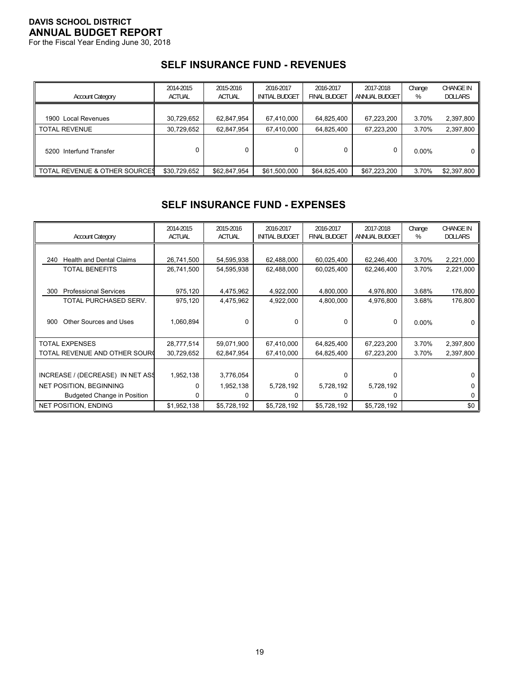For the Fiscal Year Ending June 30, 2018

### **SELF INSURANCE FUND - REVENUES**

| <b>Account Category</b>                  | 2014-2015<br><b>ACTUAL</b> | 2015-2016<br><b>ACTUAL</b> | 2016-2017<br><b>INITIAL BUDGET</b> | 2016-2017<br><b>FINAL BUDGET</b> | 2017-2018<br>ANNUAL BUDGET | Change<br>% | <b>CHANGE IN</b><br><b>DOLLARS</b> |
|------------------------------------------|----------------------------|----------------------------|------------------------------------|----------------------------------|----------------------------|-------------|------------------------------------|
| 1900 Local Revenues                      | 30,729,652                 | 62,847,954                 | 67,410,000                         | 64,825,400                       | 67,223,200                 | 3.70%       | 2,397,800                          |
| <b>TOTAL REVENUE</b>                     | 30,729,652                 | 62,847,954                 | 67,410,000                         | 64,825,400                       | 67,223,200                 | 3.70%       | 2,397,800                          |
| 5200 Interfund Transfer                  |                            |                            |                                    | 0                                |                            | $0.00\%$    | 0                                  |
| <b>TOTAL REVENUE &amp; OTHER SOURCES</b> | \$30,729,652               | \$62,847,954               | \$61,500,000                       | \$64,825,400                     | \$67.223.200               | 3.70%       | \$2,397,800                        |

# **SELF INSURANCE FUND - EXPENSES**

| <b>Account Category</b>                | 2014-2015<br><b>ACTUAL</b> | 2015-2016<br><b>ACTUAL</b> | 2016-2017<br><b>INITIAL BUDGET</b> | 2016-2017<br><b>FINAL BUDGET</b> | 2017-2018<br>ANNUAL BUDGET | Change<br>% | <b>CHANGE IN</b><br><b>DOLLARS</b> |
|----------------------------------------|----------------------------|----------------------------|------------------------------------|----------------------------------|----------------------------|-------------|------------------------------------|
|                                        |                            |                            |                                    |                                  |                            |             |                                    |
| <b>Health and Dental Claims</b><br>240 | 26,741,500                 | 54,595,938                 | 62,488,000                         | 60,025,400                       | 62,246,400                 | 3.70%       | 2,221,000                          |
| <b>TOTAL BENEFITS</b>                  | 26,741,500                 | 54,595,938                 | 62,488,000                         | 60,025,400                       | 62,246,400                 | 3.70%       | 2,221,000                          |
|                                        |                            |                            |                                    |                                  |                            |             |                                    |
| <b>Professional Services</b><br>300    | 975,120                    | 4,475,962                  | 4,922,000                          | 4,800,000                        | 4,976,800                  | 3.68%       | 176,800                            |
| TOTAL PURCHASED SERV.                  | 975,120                    | 4,475,962                  | 4,922,000                          | 4,800,000                        | 4,976,800                  | 3.68%       | 176,800                            |
|                                        |                            |                            |                                    |                                  |                            |             |                                    |
| Other Sources and Uses<br>900          | 1,060,894                  | 0                          | 0                                  | 0                                | 0                          | $0.00\%$    |                                    |
|                                        |                            |                            |                                    |                                  |                            |             |                                    |
| <b>TOTAL EXPENSES</b>                  | 28,777,514                 | 59,071,900                 | 67,410,000                         | 64,825,400                       | 67,223,200                 | 3.70%       | 2,397,800                          |
| TOTAL REVENUE AND OTHER SOURI          | 30,729,652                 | 62,847,954                 | 67,410,000                         | 64,825,400                       | 67,223,200                 | 3.70%       | 2,397,800                          |
|                                        |                            |                            |                                    |                                  |                            |             |                                    |
| INCREASE / (DECREASE) IN NET ASS       | 1,952,138                  | 3,776,054                  | 0                                  | 0                                | 0                          |             | 0                                  |
| <b>NET POSITION, BEGINNING</b>         | 0                          | 1,952,138                  | 5,728,192                          | 5,728,192                        | 5,728,192                  |             | 0                                  |
| <b>Budgeted Change in Position</b>     | 0                          | 0                          |                                    | 0                                | 0                          |             | 0                                  |
| <b>NET POSITION, ENDING</b>            | \$1,952,138                | \$5,728,192                | \$5,728,192                        | \$5,728,192                      | \$5,728,192                |             | \$0                                |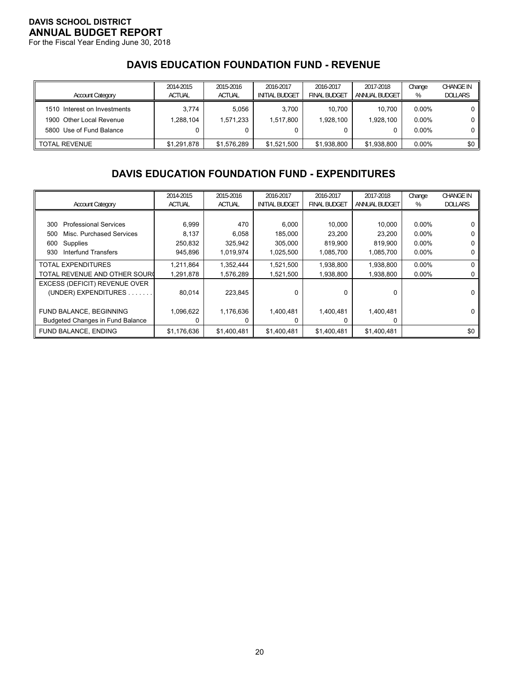For the Fiscal Year Ending June 30, 2018

# **DAVIS EDUCATION FOUNDATION FUND - REVENUE**

| <b>Account Category</b>                                                              | 2014-2015<br><b>ACTUAL</b> | 2015-2016<br><b>ACTUAL</b> | 2016-2017<br><b>INITIAL BUDGET</b> | 2016-2017<br><b>FINAL BUDGET</b> | 2017-2018<br>ANNUAL BUDGET | Change<br>%                      | <b>CHANGE IN</b><br><b>DOLLARS</b> |
|--------------------------------------------------------------------------------------|----------------------------|----------------------------|------------------------------------|----------------------------------|----------------------------|----------------------------------|------------------------------------|
| 1510 Interest on Investments<br>1900 Other Local Revenue<br>5800 Use of Fund Balance | 3.774<br>1.288.104         | 5.056<br>1,571,233         | 3.700<br>1,517,800<br>0            | 10.700<br>1.928.100              | 10.700<br>1.928.100        | $0.00\%$<br>$0.00\%$<br>$0.00\%$ | 0  <br>0 l                         |
| <b>TOTAL REVENUE</b>                                                                 | \$1.291.878                | \$1.576.289                | \$1.521.500                        | \$1.938.800                      | \$1,938,800                | $0.00\%$                         | \$0 <sub>1</sub>                   |

# **DAVIS EDUCATION FOUNDATION FUND - EXPENDITURES**

|                                         | 2014-2015     | 2015-2016     | 2016-2017             | 2016-2017           | 2017-2018     | Change   | <b>CHANGE IN</b> |
|-----------------------------------------|---------------|---------------|-----------------------|---------------------|---------------|----------|------------------|
| <b>Account Category</b>                 | <b>ACTUAL</b> | <b>ACTUAL</b> | <b>INITIAL BUDGET</b> | <b>FINAL BUDGET</b> | ANNUAL BUDGET | %        | <b>DOLLARS</b>   |
|                                         |               |               |                       |                     |               |          |                  |
| <b>Professional Services</b><br>300     | 6,999         | 470           | 6,000                 | 10,000              | 10,000        | $0.00\%$ |                  |
| Misc. Purchased Services<br>500         | 8,137         | 6,058         | 185,000               | 23,200              | 23.200        | $0.00\%$ |                  |
| Supplies<br>600                         | 250,832       | 325,942       | 305.000               | 819,900             | 819.900       | $0.00\%$ |                  |
| Interfund Transfers<br>930              | 945,896       | 1,019,974     | 1,025,500             | 1,085,700           | 1,085,700     | $0.00\%$ |                  |
| TOTAL EXPENDITURES                      | 1,211,864     | 1,352,444     | 1,521,500             | 1,938,800           | 1,938,800     | $0.00\%$ |                  |
| TOTAL REVENUE AND OTHER SOURC           | 1,291,878     | 1,576,289     | 1,521,500             | 1,938,800           | 1,938,800     | $0.00\%$ |                  |
| EXCESS (DEFICIT) REVENUE OVER           |               |               |                       |                     |               |          |                  |
| (UNDER) EXPENDITURES.                   | 80,014        | 223,845       | 0                     | 0                   | 0             |          |                  |
|                                         |               |               |                       |                     |               |          |                  |
| FUND BALANCE, BEGINNING                 | 1,096,622     | 1,176,636     | 1,400,481             | 1,400,481           | 1,400,481     |          |                  |
| <b>Budgeted Changes in Fund Balance</b> |               |               | 0                     | 0                   | 0             |          |                  |
| FUND BALANCE, ENDING                    | \$1,176,636   | \$1,400,481   | \$1,400,481           | \$1,400,481         | \$1,400,481   |          | \$0              |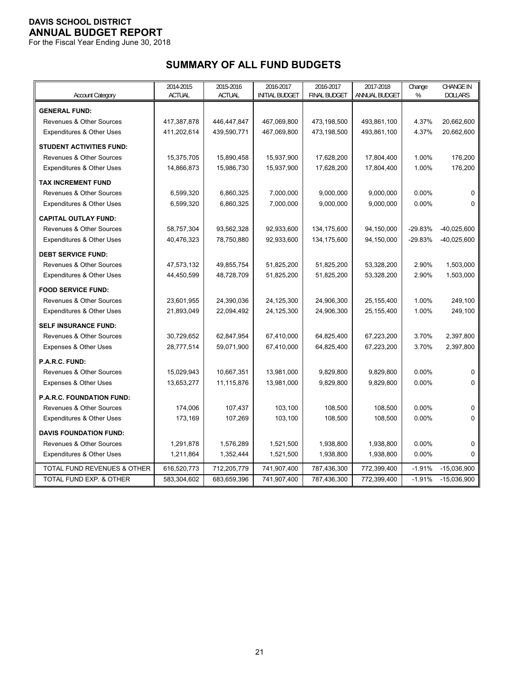For the Fiscal Year Ending June 30, 2018

# **SUMMARY OF ALL FUND BUDGETS**

|                                     | 2014-2015     | 2015-2016     | 2016-2017             | 2016-2017           | 2017-2018     | Change    | <b>CHANGE IN</b> |
|-------------------------------------|---------------|---------------|-----------------------|---------------------|---------------|-----------|------------------|
| <b>Account Category</b>             | <b>ACTUAL</b> | <b>ACTUAL</b> | <b>INITIAL BUDGET</b> | <b>FINAL BUDGET</b> | ANNUAL BUDGET | %         | <b>DOLLARS</b>   |
| <b>GENERAL FUND:</b>                |               |               |                       |                     |               |           |                  |
| <b>Revenues &amp; Other Sources</b> | 417,387,878   | 446,447,847   | 467,069,800           | 473,198,500         | 493,861,100   | 4.37%     | 20,662,600       |
| Expenditures & Other Uses           | 411,202,614   | 439,590,771   | 467,069,800           | 473,198,500         | 493,861,100   | 4.37%     | 20,662,600       |
| <b>STUDENT ACTIVITIES FUND:</b>     |               |               |                       |                     |               |           |                  |
| Revenues & Other Sources            | 15,375,705    | 15,890,458    | 15,937,900            | 17,628,200          | 17,804,400    | 1.00%     | 176,200          |
| Expenditures & Other Uses           | 14,866,873    | 15,986,730    | 15,937,900            | 17,628,200          | 17,804,400    | 1.00%     | 176,200          |
| <b>TAX INCREMENT FUND</b>           |               |               |                       |                     |               |           |                  |
| <b>Revenues &amp; Other Sources</b> | 6,599,320     | 6,860,325     | 7,000,000             | 9,000,000           | 9,000,000     | 0.00%     | 0                |
| Expenditures & Other Uses           | 6,599,320     | 6,860,325     | 7,000,000             | 9,000,000           | 9,000,000     | $0.00\%$  | $\Omega$         |
| <b>CAPITAL OUTLAY FUND:</b>         |               |               |                       |                     |               |           |                  |
| Revenues & Other Sources            | 58,757,304    | 93,562,328    | 92,933,600            | 134, 175, 600       | 94,150,000    | $-29.83%$ | $-40,025,600$    |
| Expenditures & Other Uses           | 40,476,323    | 78,750,880    | 92,933,600            | 134,175,600         | 94,150,000    | $-29.83%$ | $-40,025,600$    |
| <b>DEBT SERVICE FUND:</b>           |               |               |                       |                     |               |           |                  |
| <b>Revenues &amp; Other Sources</b> | 47,573,132    | 49,855,754    | 51,825,200            | 51,825,200          | 53,328,200    | 2.90%     | 1,503,000        |
| Expenditures & Other Uses           | 44,450,599    | 48,728,709    | 51,825,200            | 51,825,200          | 53,328,200    | 2.90%     | 1,503,000        |
| <b>FOOD SERVICE FUND:</b>           |               |               |                       |                     |               |           |                  |
| Revenues & Other Sources            | 23,601,955    | 24,390,036    | 24,125,300            | 24,906,300          | 25, 155, 400  | 1.00%     | 249,100          |
| Expenditures & Other Uses           | 21,893,049    | 22,094,492    | 24,125,300            | 24,906,300          | 25, 155, 400  | 1.00%     | 249,100          |
| <b>SELF INSURANCE FUND:</b>         |               |               |                       |                     |               |           |                  |
| Revenues & Other Sources            | 30,729,652    | 62,847,954    | 67,410,000            | 64,825,400          | 67,223,200    | 3.70%     | 2,397,800        |
| Expenses & Other Uses               | 28,777,514    | 59,071,900    | 67,410,000            | 64,825,400          | 67,223,200    | 3.70%     | 2,397,800        |
| P.A.R.C. FUND:                      |               |               |                       |                     |               |           |                  |
| <b>Revenues &amp; Other Sources</b> | 15,029,943    | 10,667,351    | 13,981,000            | 9,829,800           | 9,829,800     | 0.00%     | 0                |
| Expenses & Other Uses               | 13,653,277    | 11,115,876    | 13,981,000            | 9,829,800           | 9,829,800     | $0.00\%$  | 0                |
| <b>P.A.R.C. FOUNDATION FUND:</b>    |               |               |                       |                     |               |           |                  |
| Revenues & Other Sources            | 174,006       | 107,437       | 103,100               | 108,500             | 108,500       | 0.00%     | 0                |
| Expenditures & Other Uses           | 173,169       | 107,269       | 103,100               | 108,500             | 108,500       | 0.00%     | $\Omega$         |
| <b>DAVIS FOUNDATION FUND:</b>       |               |               |                       |                     |               |           |                  |
| Revenues & Other Sources            | 1,291,878     | 1,576,289     | 1,521,500             | 1,938,800           | 1,938,800     | 0.00%     | $\mathbf 0$      |
| Expenditures & Other Uses           | 1,211,864     | 1,352,444     | 1,521,500             | 1,938,800           | 1,938,800     | 0.00%     | $\Omega$         |
| TOTAL FUND REVENUES & OTHER         | 616,520,773   | 712,205,779   | 741,907,400           | 787,436,300         | 772,399,400   | $-1.91%$  | $-15,036,900$    |
| TOTAL FUND EXP. & OTHER             | 583,304,602   | 683,659,396   | 741,907,400           | 787,436,300         | 772,399,400   | $-1.91%$  | $-15,036,900$    |